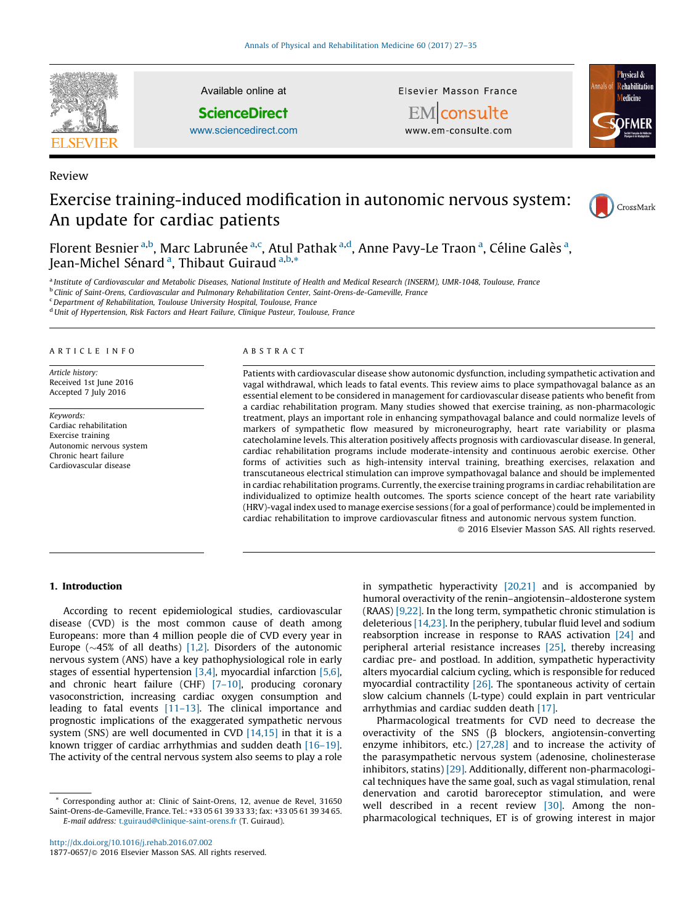

Review

Available online at

**ScienceDirect** 

[www.sciencedirect.com](http://www.sciencedirect.com/science/journal/18770657)

Elsevier Masson France



EMconsulte www.em-consulte.com

# Exercise training-induced modification in autonomic nervous system: An update for cardiac patients



Florent Besnier <sup>a,b</sup>, Marc Labrunée <sup>a,c</sup>, Atul Pathak <sup>a,d</sup>, Anne Pavy-Le Traon <sup>a</sup>, Céline Galès <sup>a</sup>, Jean-Michel Sénard <sup>a</sup>, Thibaut Guiraud <sup>a,b,</sup>\*

a Institute of Cardiovascular and Metabolic Diseases, National Institute of Health and Medical Research (INSERM), UMR-1048, Toulouse, France

<sup>b</sup> Clinic of Saint-Orens, Cardiovascular and Pulmonary Rehabilitation Center, Saint-Orens-de-Gameville, France

 $c$  Department of Rehabilitation, Toulouse University Hospital, Toulouse, France

<sup>d</sup> Unit of Hypertension, Risk Factors and Heart Failure, Clinique Pasteur, Toulouse, France

## A R T I C L E I N F O

Article history: Received 1st June 2016 Accepted 7 July 2016

Keywords: Cardiac rehabilitation Exercise training Autonomic nervous system Chronic heart failure Cardiovascular disease

# A B S T R A C T

Patients with cardiovascular disease show autonomic dysfunction, including sympathetic activation and vagal withdrawal, which leads to fatal events. This review aims to place sympathovagal balance as an essential element to be considered in management for cardiovascular disease patients who benefit from a cardiac rehabilitation program. Many studies showed that exercise training, as non-pharmacologic treatment, plays an important role in enhancing sympathovagal balance and could normalize levels of markers of sympathetic flow measured by microneurography, heart rate variability or plasma catecholamine levels. This alteration positively affects prognosis with cardiovascular disease. In general, cardiac rehabilitation programs include moderate-intensity and continuous aerobic exercise. Other forms of activities such as high-intensity interval training, breathing exercises, relaxation and transcutaneous electrical stimulation can improve sympathovagal balance and should be implemented in cardiac rehabilitation programs. Currently, the exercise training programs in cardiac rehabilitation are individualized to optimize health outcomes. The sports science concept of the heart rate variability (HRV)-vagal index used to manage exercise sessions (for a goal of performance) could be implemented in cardiac rehabilitation to improve cardiovascular fitness and autonomic nervous system function.

 $\odot$  2016 Elsevier Masson SAS. All rights reserved.

# 1. Introduction

According to recent epidemiological studies, cardiovascular disease (CVD) is the most common cause of death among Europeans: more than 4 million people die of CVD every year in Europe ( $\sim$ 45% of all deaths) [\[1,2\].](#page-5-0) Disorders of the autonomic nervous system (ANS) have a key pathophysiological role in early stages of essential hypertension [\[3,4\],](#page-5-0) myocardial infarction [\[5,6\],](#page-5-0) and chronic heart failure (CHF) [\[7–10\]](#page-5-0), producing coronary vasoconstriction, increasing cardiac oxygen consumption and leading to fatal events [\[11–13\]](#page-5-0). The clinical importance and prognostic implications of the exaggerated sympathetic nervous system (SNS) are well documented in CVD  $[14,15]$  in that it is a known trigger of cardiac arrhythmias and sudden death [\[16–19\].](#page-5-0) The activity of the central nervous system also seems to play a role

\* Corresponding author at: Clinic of Saint-Orens, 12, avenue de Revel, 31650 Saint-Orens-de-Gameville, France. Tel.: +33 05 61 39 33 33; fax: +33 05 61 39 34 65. E-mail address: [t.guiraud@clinique-saint-orens.fr](mailto:t.guiraud@clinique-saint-orens.fr) (T. Guiraud).

in sympathetic hyperactivity [\[20,21\]](#page-5-0) and is accompanied by humoral overactivity of the renin–angiotensin–aldosterone system (RAAS) [\[9,22\].](#page-5-0) In the long term, sympathetic chronic stimulation is deleterious [\[14,23\]](#page-5-0). In the periphery, tubular fluid level and sodium reabsorption increase in response to RAAS activation [\[24\]](#page-5-0) and peripheral arterial resistance increases [\[25\],](#page-5-0) thereby increasing cardiac pre- and postload. In addition, sympathetic hyperactivity alters myocardial calcium cycling, which is responsible for reduced myocardial contractility [\[26\]](#page-5-0). The spontaneous activity of certain slow calcium channels (L-type) could explain in part ventricular arrhythmias and cardiac sudden death [\[17\].](#page-5-0)

Pharmacological treatments for CVD need to decrease the overactivity of the SNS ( $\beta$  blockers, angiotensin-converting enzyme inhibitors, etc.) [\[27,28\]](#page-5-0) and to increase the activity of the parasympathetic nervous system (adenosine, cholinesterase inhibitors, statins) [\[29\].](#page-5-0) Additionally, different non-pharmacological techniques have the same goal, such as vagal stimulation, renal denervation and carotid baroreceptor stimulation, and were well described in a recent review [\[30\].](#page-5-0) Among the nonpharmacological techniques, ET is of growing interest in major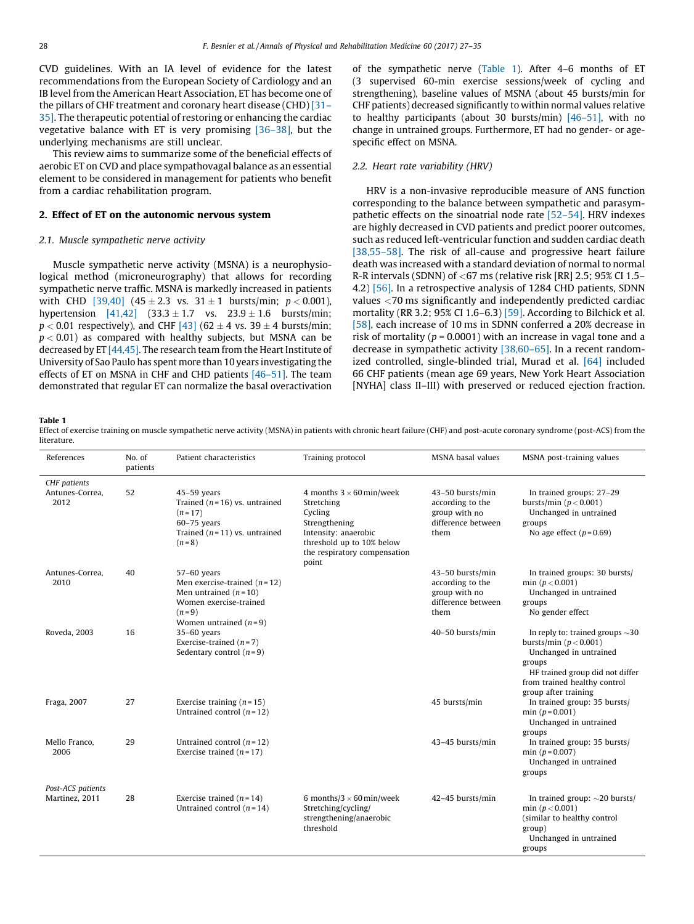CVD guidelines. With an IA level of evidence for the latest recommendations from the European Society of Cardiology and an IB level from the American Heart Association, ET has become one of the pillars of CHF treatment and coronary heart disease (CHD) [\[31–](#page-5-0) [35\]](#page-5-0). The therapeutic potential of restoring or enhancing the cardiac vegetative balance with ET is very promising [\[36–38\]](#page-6-0), but the underlying mechanisms are still unclear.

This review aims to summarize some of the beneficial effects of aerobic ET on CVD and place sympathovagal balance as an essential element to be considered in management for patients who benefit from a cardiac rehabilitation program.

## 2. Effect of ET on the autonomic nervous system

## 2.1. Muscle sympathetic nerve activity

Muscle sympathetic nerve activity (MSNA) is a neurophysiological method (microneurography) that allows for recording sympathetic nerve traffic. MSNA is markedly increased in patients with CHD [\[39,40\]](#page-6-0)  $(45 \pm 2.3 \text{ vs. } 31 \pm 1 \text{ bursts/min}; p < 0.001)$ , hypertension [\[41,42\]](#page-6-0)  $(33.3 \pm 1.7 \text{ vs. } 23.9 \pm 1.6 \text{ bursts/min};$  $p < 0.01$  respectively), and CHF [\[43\]](#page-6-0) (62  $\pm$  4 vs. 39  $\pm$  4 bursts/min;  $p < 0.01$ ) as compared with healthy subjects, but MSNA can be decreased by ET [\[44,45\]](#page-6-0). The research team from the Heart Institute of University of Sao Paulo has spent more than 10 years investigating the effects of ET on MSNA in CHF and CHD patients [\[46–51\]](#page-6-0). The team demonstrated that regular ET can normalize the basal overactivation of the sympathetic nerve (Table 1). After 4–6 months of ET (3 supervised 60-min exercise sessions/week of cycling and strengthening), baseline values of MSNA (about 45 bursts/min for CHF patients) decreased significantly to within normal values relative to healthy participants (about 30 bursts/min) [\[46–51\],](#page-6-0) with no change in untrained groups. Furthermore, ET had no gender- or agespecific effect on MSNA.

# 2.2. Heart rate variability (HRV)

HRV is a non-invasive reproducible measure of ANS function corresponding to the balance between sympathetic and parasympathetic effects on the sinoatrial node rate [\[52–54\]](#page-6-0). HRV indexes are highly decreased in CVD patients and predict poorer outcomes, such as reduced left-ventricular function and sudden cardiac death [\[38,55–58\]](#page-6-0). The risk of all-cause and progressive heart failure death was increased with a standard deviation of normal to normal R-R intervals (SDNN) of  $<$  67 ms (relative risk [RR] 2.5; 95% CI 1.5– 4.2) [\[56\].](#page-6-0) In a retrospective analysis of 1284 CHD patients, SDNN values <70 ms significantly and independently predicted cardiac mortality (RR 3.2; 95% CI 1.6–6.3) [\[59\].](#page-6-0) According to Bilchick et al. [\[58\]](#page-6-0), each increase of 10 ms in SDNN conferred a 20% decrease in risk of mortality ( $p = 0.0001$ ) with an increase in vagal tone and a decrease in sympathetic activity [\[38,60–65\].](#page-6-0) In a recent randomized controlled, single-blinded trial, Murad et al. [\[64\]](#page-6-0) included 66 CHF patients (mean age 69 years, New York Heart Association [NYHA] class II–III) with preserved or reduced ejection fraction.

# Table 1

Effect of exercise training on muscle sympathetic nerve activity (MSNA) in patients with chronic heart failure (CHF) and post-acute coronary syndrome (post-ACS) from the literature.

| References                              | No. of<br>patients | Patient characteristics                                                                                                                  | Training protocol                                                                                                                                                       | MSNA basal values                                                                   | MSNA post-training values                                                                                                                                                                          |
|-----------------------------------------|--------------------|------------------------------------------------------------------------------------------------------------------------------------------|-------------------------------------------------------------------------------------------------------------------------------------------------------------------------|-------------------------------------------------------------------------------------|----------------------------------------------------------------------------------------------------------------------------------------------------------------------------------------------------|
| CHF patients<br>Antunes-Correa,<br>2012 | 52                 | $45-59$ years<br>Trained ( $n = 16$ ) vs. untrained<br>$(n=17)$<br>$60-75$ years<br>Trained $(n=11)$ vs. untrained<br>$(n=8)$            | 4 months $3 \times 60$ min/week<br>Stretching<br>Cycling<br>Strengthening<br>Intensity: anaerobic<br>threshold up to 10% below<br>the respiratory compensation<br>point | 43-50 bursts/min<br>according to the<br>group with no<br>difference between<br>them | In trained groups: 27-29<br>bursts/min ( $p < 0.001$ )<br>Unchanged in untrained<br>groups<br>No age effect $(p=0.69)$                                                                             |
| Antunes-Correa.<br>2010                 | 40                 | $57-60$ years<br>Men exercise-trained $(n=12)$<br>Men untrained $(n=10)$<br>Women exercise-trained<br>$(n=9)$<br>Women untrained $(n=9)$ |                                                                                                                                                                         | 43-50 bursts/min<br>according to the<br>group with no<br>difference between<br>them | In trained groups: 30 bursts/<br>min ( $p < 0.001$ )<br>Unchanged in untrained<br>groups<br>No gender effect                                                                                       |
| Roveda, 2003                            | 16                 | $35-60$ years<br>Exercise-trained $(n=7)$<br>Sedentary control $(n=9)$                                                                   |                                                                                                                                                                         | 40-50 bursts/min                                                                    | In reply to: trained groups $\sim$ 30<br>bursts/min ( $p < 0.001$ )<br>Unchanged in untrained<br>groups<br>HF trained group did not differ<br>from trained healthy control<br>group after training |
| Fraga, 2007                             | 27                 | Exercise training $(n=15)$<br>Untrained control $(n=12)$                                                                                 |                                                                                                                                                                         | 45 bursts/min                                                                       | In trained group: 35 bursts/<br>min $(p = 0.001)$<br>Unchanged in untrained<br>groups                                                                                                              |
| Mello Franco.<br>2006                   | 29                 | Untrained control $(n=12)$<br>Exercise trained $(n=17)$                                                                                  |                                                                                                                                                                         | 43-45 bursts/min                                                                    | In trained group: 35 bursts/<br>min $(p = 0.007)$<br>Unchanged in untrained<br>groups                                                                                                              |
| Post-ACS patients<br>Martinez, 2011     | 28                 | Exercise trained $(n=14)$<br>Untrained control $(n=14)$                                                                                  | 6 months/3 $\times$ 60 min/week<br>Stretching/cycling/<br>strengthening/anaerobic<br>threshold                                                                          | 42-45 bursts/min                                                                    | In trained group: $\sim$ 20 bursts/<br>min ( $p < 0.001$ )<br>(similar to healthy control<br>group)<br>Unchanged in untrained<br>groups                                                            |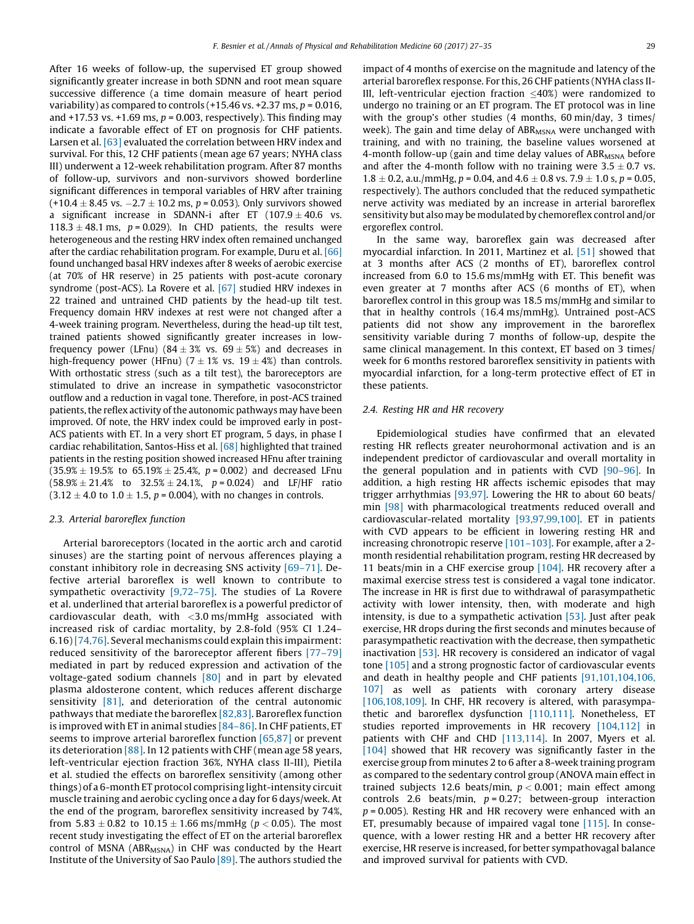After 16 weeks of follow-up, the supervised ET group showed significantly greater increase in both SDNN and root mean square successive difference (a time domain measure of heart period variability) as compared to controls  $(+15.46 \text{ vs. } +2.37 \text{ ms}, p = 0.016,$ and  $+17.53$  vs.  $+1.69$  ms,  $p = 0.003$ , respectively). This finding may indicate a favorable effect of ET on prognosis for CHF patients. Larsen et al. [\[63\]](#page-6-0) evaluated the correlation between HRV index and survival. For this, 12 CHF patients (mean age 67 years; NYHA class III) underwent a 12-week rehabilitation program. After 87 months of follow-up, survivors and non-survivors showed borderline significant differences in temporal variables of HRV after training  $(+10.4 \pm 8.45 \text{ vs. } -2.7 \pm 10.2 \text{ ms}, p = 0.053)$ . Only survivors showed a significant increase in SDANN-i after ET  $(107.9 \pm 40.6 \text{ vs.})$  $118.3 \pm 48.1$  ms,  $p = 0.029$ ). In CHD patients, the results were heterogeneous and the resting HRV index often remained unchanged after the cardiac rehabilitation program. For example, Duru et al. [\[66\]](#page-6-0) found unchanged basal HRV indexes after 8 weeks of aerobic exercise (at 70% of HR reserve) in 25 patients with post-acute coronary syndrome (post-ACS). La Rovere et al. [\[67\]](#page-6-0) studied HRV indexes in 22 trained and untrained CHD patients by the head-up tilt test. Frequency domain HRV indexes at rest were not changed after a 4-week training program. Nevertheless, during the head-up tilt test, trained patients showed significantly greater increases in lowfrequency power (LFnu) (84  $\pm$  3% vs. 69  $\pm$  5%) and decreases in high-frequency power (HFnu) ( $7 \pm 1\%$  vs.  $19 \pm 4\%$ ) than controls. With orthostatic stress (such as a tilt test), the baroreceptors are stimulated to drive an increase in sympathetic vasoconstrictor outflow and a reduction in vagal tone. Therefore, in post-ACS trained patients, the reflex activity of the autonomic pathways may have been improved. Of note, the HRV index could be improved early in post-ACS patients with ET. In a very short ET program, 5 days, in phase I cardiac rehabilitation, Santos-Hiss et al. [\[68\]](#page-6-0) highlighted that trained patients in the resting position showed increased HFnu after training  $(35.9% \pm 19.5%$  to  $65.19% \pm 25.4%$ ,  $p = 0.002$ ) and decreased LFnu  $(58.9% \pm 21.4%$  to  $32.5% \pm 24.1%$ ,  $p = 0.024$  and LF/HF ratio  $(3.12 \pm 4.0 \text{ to } 1.0 \pm 1.5, p = 0.004)$ , with no changes in controls.

## 2.3. Arterial baroreflex function

Arterial baroreceptors (located in the aortic arch and carotid sinuses) are the starting point of nervous afferences playing a constant inhibitory role in decreasing SNS activity [\[69–71\].](#page-6-0) Defective arterial baroreflex is well known to contribute to sympathetic overactivity [\[9,72–75\]](#page-5-0). The studies of La Rovere et al. underlined that arterial baroreflex is a powerful predictor of cardiovascular death, with <3.0 ms/mmHg associated with increased risk of cardiac mortality, by 2.8-fold (95% CI 1.24– 6.16) [\[74,76\].](#page-6-0) Several mechanisms could explain this impairment: reduced sensitivity of the baroreceptor afferent fibers [\[77–79\]](#page-6-0) mediated in part by reduced expression and activation of the voltage-gated sodium channels [\[80\]](#page-6-0) and in part by elevated plasma aldosterone content, which reduces afferent discharge sensitivity [\[81\]](#page-6-0), and deterioration of the central autonomic pathways that mediate the baroreflex [\[82,83\].](#page-6-0) Baroreflex function is improved with ET in animal studies [\[84–86\].](#page-6-0) In CHF patients, ET seems to improve arterial baroreflex function [\[65,87\]](#page-6-0) or prevent its deterioration [\[88\].](#page-7-0) In 12 patients with CHF (mean age 58 years, left-ventricular ejection fraction 36%, NYHA class II-III), Pietila et al. studied the effects on baroreflex sensitivity (among other things) of a 6-month ET protocol comprising light-intensity circuit muscle training and aerobic cycling once a day for 6 days/week. At the end of the program, baroreflex sensitivity increased by 74%, from  $5.83 \pm 0.82$  to  $10.15 \pm 1.66$  ms/mmHg ( $p < 0.05$ ). The most recent study investigating the effect of ET on the arterial baroreflex control of MSNA ( $ABR_{MSNA}$ ) in CHF was conducted by the Heart Institute of the University of Sao Paulo [\[89\].](#page-7-0) The authors studied the impact of 4 months of exercise on the magnitude and latency of the arterial baroreflex response. For this, 26 CHF patients (NYHA class II-III, left-ventricular ejection fraction  $\leq 40\%$ ) were randomized to undergo no training or an ET program. The ET protocol was in line with the group's other studies (4 months, 60 min/day, 3 times/ week). The gain and time delay of  $ABR_{MSNA}$  were unchanged with training, and with no training, the baseline values worsened at 4-month follow-up (gain and time delay values of  $ABR_{MSNA}$  before and after the 4-month follow with no training were  $3.5 \pm 0.7$  vs.  $1.8 \pm 0.2$ , a.u./mmHg,  $p = 0.04$ , and  $4.6 \pm 0.8$  vs.  $7.9 \pm 1.0$  s,  $p = 0.05$ , respectively). The authors concluded that the reduced sympathetic nerve activity was mediated by an increase in arterial baroreflex sensitivity but also may be modulated by chemoreflex control and/or ergoreflex control.

In the same way, baroreflex gain was decreased after myocardial infarction. In 2011, Martinez et al. [\[51\]](#page-6-0) showed that at 3 months after ACS (2 months of ET), baroreflex control increased from 6.0 to 15.6 ms/mmHg with ET. This benefit was even greater at 7 months after ACS (6 months of ET), when baroreflex control in this group was 18.5 ms/mmHg and similar to that in healthy controls (16.4 ms/mmHg). Untrained post-ACS patients did not show any improvement in the baroreflex sensitivity variable during 7 months of follow-up, despite the same clinical management. In this context, ET based on 3 times/ week for 6 months restored baroreflex sensitivity in patients with myocardial infarction, for a long-term protective effect of ET in these patients.

# 2.4. Resting HR and HR recovery

Epidemiological studies have confirmed that an elevated resting HR reflects greater neurohormonal activation and is an independent predictor of cardiovascular and overall mortality in the general population and in patients with CVD [\[90–96\]](#page-7-0). In addition, a high resting HR affects ischemic episodes that may trigger arrhythmias [\[93,97\]](#page-7-0). Lowering the HR to about 60 beats/ min [\[98\]](#page-7-0) with pharmacological treatments reduced overall and cardiovascular-related mortality [\[93,97,99,100\].](#page-7-0) ET in patients with CVD appears to be efficient in lowering resting HR and increasing chronotropic reserve [\[101–103\]](#page-7-0). For example, after a 2 month residential rehabilitation program, resting HR decreased by 11 beats/min in a CHF exercise group [\[104\].](#page-7-0) HR recovery after a maximal exercise stress test is considered a vagal tone indicator. The increase in HR is first due to withdrawal of parasympathetic activity with lower intensity, then, with moderate and high intensity, is due to a sympathetic activation [\[53\]](#page-6-0). Just after peak exercise, HR drops during the first seconds and minutes because of parasympathetic reactivation with the decrease, then sympathetic inactivation [\[53\]](#page-6-0). HR recovery is considered an indicator of vagal tone [\[105\]](#page-7-0) and a strong prognostic factor of cardiovascular events and death in healthy people and CHF patients [\[91,101,104,106,](#page-7-0) [107\]](#page-7-0) as well as patients with coronary artery disease [\[106,108,109\].](#page-7-0) In CHF, HR recovery is altered, with parasympathetic and baroreflex dysfunction [\[110,111\]](#page-7-0). Nonetheless, ET studies reported improvements in HR recovery [\[104,112\]](#page-7-0) in patients with CHF and CHD [\[113,114\].](#page-7-0) In 2007, Myers et al. [\[104\]](#page-7-0) showed that HR recovery was significantly faster in the exercise group from minutes 2 to 6 after a 8-week training program as compared to the sedentary control group (ANOVA main effect in trained subjects 12.6 beats/min,  $p < 0.001$ ; main effect among controls 2.6 beats/min,  $p = 0.27$ ; between-group interaction  $p = 0.005$ ). Resting HR and HR recovery were enhanced with an ET, presumably because of impaired vagal tone [\[115\]](#page-7-0). In consequence, with a lower resting HR and a better HR recovery after exercise, HR reserve is increased, for better sympathovagal balance and improved survival for patients with CVD.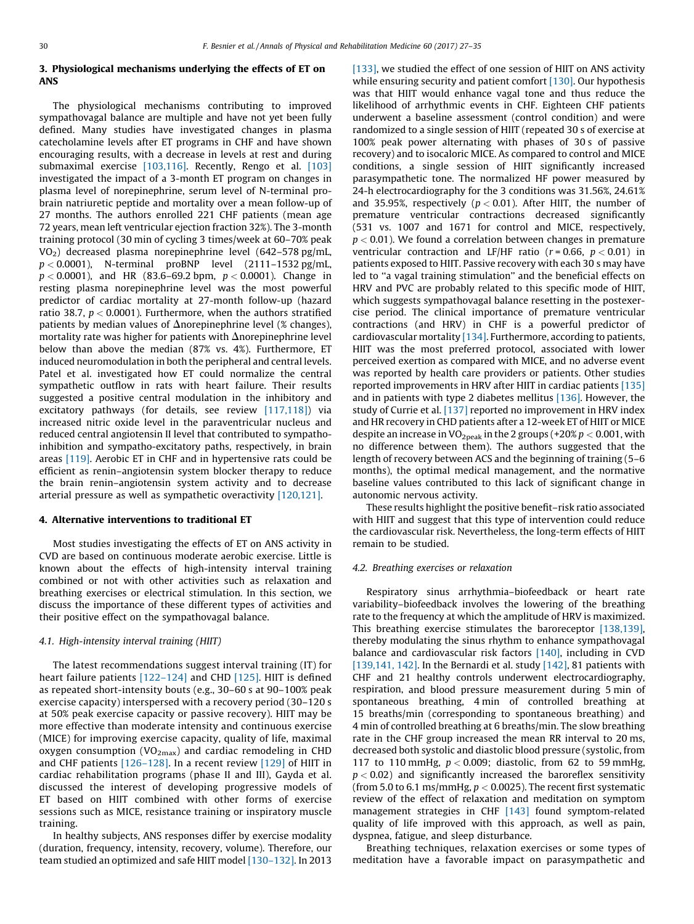# 3. Physiological mechanisms underlying the effects of ET on ANS

The physiological mechanisms contributing to improved sympathovagal balance are multiple and have not yet been fully defined. Many studies have investigated changes in plasma catecholamine levels after ET programs in CHF and have shown encouraging results, with a decrease in levels at rest and during submaximal exercise [\[103,116\].](#page-7-0) Recently, Rengo et al. [\[103\]](#page-7-0) investigated the impact of a 3-month ET program on changes in plasma level of norepinephrine, serum level of N-terminal probrain natriuretic peptide and mortality over a mean follow-up of 27 months. The authors enrolled 221 CHF patients (mean age 72 years, mean left ventricular ejection fraction 32%). The 3-month training protocol (30 min of cycling 3 times/week at 60–70% peak VO2) decreased plasma norepinephrine level (642–578 pg/mL,  $p < 0.0001$ ), N-terminal proBNP level  $(2111-1532 \text{ pg/mL})$  $p < 0.0001$ ), and HR (83.6–69.2 bpm,  $p < 0.0001$ ). Change in resting plasma norepinephrine level was the most powerful predictor of cardiac mortality at 27-month follow-up (hazard ratio 38.7,  $p < 0.0001$ ). Furthermore, when the authors stratified patients by median values of  $\Delta$ norepinephrine level (% changes), mortality rate was higher for patients with  $\Delta$ norepinephrine level below than above the median (87% vs. 4%). Furthermore, ET induced neuromodulation in both the peripheral and central levels. Patel et al. investigated how ET could normalize the central sympathetic outflow in rats with heart failure. Their results suggested a positive central modulation in the inhibitory and excitatory pathways (for details, see review [\[117,118\]](#page-7-0)) via increased nitric oxide level in the paraventricular nucleus and reduced central angiotensin II level that contributed to sympathoinhibition and sympatho-excitatory paths, respectively, in brain areas [\[119\]](#page-7-0). Aerobic ET in CHF and in hypertensive rats could be efficient as renin–angiotensin system blocker therapy to reduce the brain renin–angiotensin system activity and to decrease arterial pressure as well as sympathetic overactivity [\[120,121\]](#page-7-0).

# 4. Alternative interventions to traditional ET

Most studies investigating the effects of ET on ANS activity in CVD are based on continuous moderate aerobic exercise. Little is known about the effects of high-intensity interval training combined or not with other activities such as relaxation and breathing exercises or electrical stimulation. In this section, we discuss the importance of these different types of activities and their positive effect on the sympathovagal balance.

# 4.1. High-intensity interval training (HIIT)

The latest recommendations suggest interval training (IT) for heart failure patients [\[122–124\]](#page-7-0) and CHD [\[125\]](#page-7-0). HIIT is defined as repeated short-intensity bouts (e.g., 30–60 s at 90–100% peak exercise capacity) interspersed with a recovery period (30–120 s at 50% peak exercise capacity or passive recovery). HIIT may be more effective than moderate intensity and continuous exercise (MICE) for improving exercise capacity, quality of life, maximal oxygen consumption ( $VO<sub>2max</sub>$ ) and cardiac remodeling in CHD and CHF patients [\[126–128\].](#page-7-0) In a recent review [\[129\]](#page-7-0) of HIIT in cardiac rehabilitation programs (phase II and III), Gayda et al. discussed the interest of developing progressive models of ET based on HIIT combined with other forms of exercise sessions such as MICE, resistance training or inspiratory muscle training.

In healthy subjects, ANS responses differ by exercise modality (duration, frequency, intensity, recovery, volume). Therefore, our team studied an optimized and safe HIIT model [\[130–132\].](#page-7-0) In 2013 [\[133\]](#page-7-0), we studied the effect of one session of HIIT on ANS activity while ensuring security and patient comfort  $[130]$ . Our hypothesis was that HIIT would enhance vagal tone and thus reduce the likelihood of arrhythmic events in CHF. Eighteen CHF patients underwent a baseline assessment (control condition) and were randomized to a single session of HIIT (repeated 30 s of exercise at 100% peak power alternating with phases of 30 s of passive recovery) and to isocaloric MICE. As compared to control and MICE conditions, a single session of HIIT significantly increased parasympathetic tone. The normalized HF power measured by 24-h electrocardiography for the 3 conditions was 31.56%, 24.61% and 35.95%, respectively ( $p < 0.01$ ). After HIIT, the number of premature ventricular contractions decreased significantly (531 vs. 1007 and 1671 for control and MICE, respectively,  $p < 0.01$ ). We found a correlation between changes in premature ventricular contraction and LF/HF ratio ( $r = 0.66$ ,  $p < 0.01$ ) in patients exposed to HIIT. Passive recovery with each 30 s may have led to ''a vagal training stimulation'' and the beneficial effects on HRV and PVC are probably related to this specific mode of HIIT, which suggests sympathovagal balance resetting in the postexercise period. The clinical importance of premature ventricular contractions (and HRV) in CHF is a powerful predictor of cardiovascular mortality [\[134\]](#page-7-0). Furthermore, according to patients, HIIT was the most preferred protocol, associated with lower perceived exertion as compared with MICE, and no adverse event was reported by health care providers or patients. Other studies reported improvements in HRV after HIIT in cardiac patients [\[135\]](#page-7-0) and in patients with type 2 diabetes mellitus [\[136\]](#page-7-0). However, the study of Currie et al. [\[137\]](#page-7-0) reported no improvement in HRV index and HR recovery in CHD patients after a 12-week ET of HIIT or MICE despite an increase in  $VO_{2peak}$  in the 2 groups (+20%  $p < 0.001$ , with no difference between them). The authors suggested that the length of recovery between ACS and the beginning of training (5–6 months), the optimal medical management, and the normative baseline values contributed to this lack of significant change in autonomic nervous activity.

These results highlight the positive benefit–risk ratio associated with HIIT and suggest that this type of intervention could reduce the cardiovascular risk. Nevertheless, the long-term effects of HIIT remain to be studied.

#### 4.2. Breathing exercises or relaxation

Respiratory sinus arrhythmia–biofeedback or heart rate variability–biofeedback involves the lowering of the breathing rate to the frequency at which the amplitude of HRV is maximized. This breathing exercise stimulates the baroreceptor [\[138,139\],](#page-7-0) thereby modulating the sinus rhythm to enhance sympathovagal balance and cardiovascular risk factors [\[140\],](#page-7-0) including in CVD [\[139,141,](#page-7-0) 142]. In the Bernardi et al. study  $[142]$ , 81 patients with CHF and 21 healthy controls underwent electrocardiography, respiration, and blood pressure measurement during 5 min of spontaneous breathing, 4 min of controlled breathing at 15 breaths/min (corresponding to spontaneous breathing) and 4 min of controlled breathing at 6 breaths/min. The slow breathing rate in the CHF group increased the mean RR interval to 20 ms, decreased both systolic and diastolic blood pressure (systolic, from 117 to 110 mmHg,  $p < 0.009$ ; diastolic, from 62 to 59 mmHg,  $p < 0.02$ ) and significantly increased the baroreflex sensitivity (from 5.0 to 6.1 ms/mmHg,  $p < 0.0025$ ). The recent first systematic review of the effect of relaxation and meditation on symptom management strategies in CHF [\[143\]](#page-8-0) found symptom-related quality of life improved with this approach, as well as pain, dyspnea, fatigue, and sleep disturbance.

Breathing techniques, relaxation exercises or some types of meditation have a favorable impact on parasympathetic and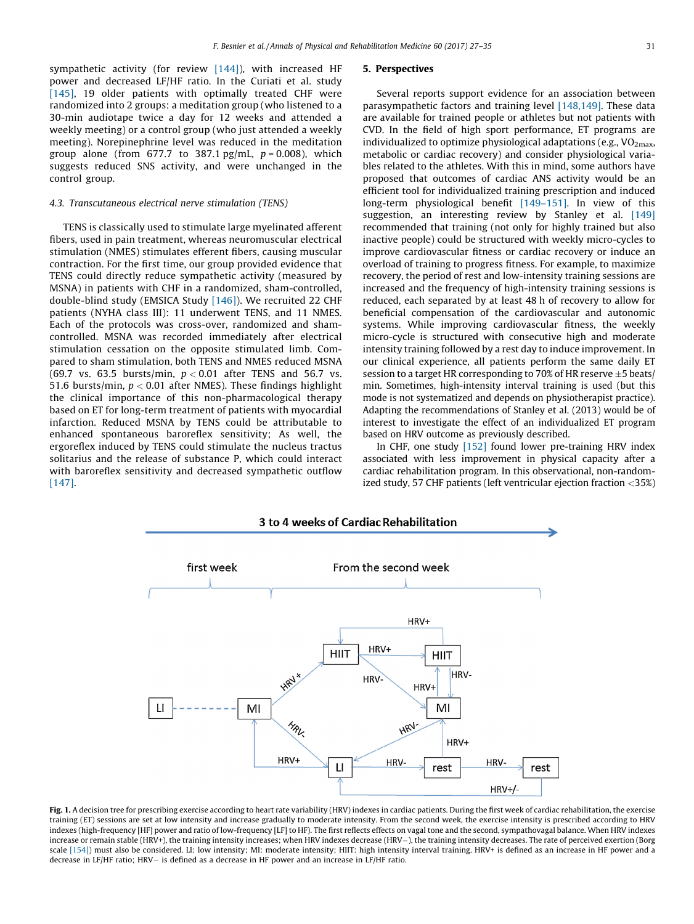<span id="page-4-0"></span>sympathetic activity (for review [\[144\]](#page-8-0)), with increased HF power and decreased LF/HF ratio. In the Curiati et al. study [\[145\],](#page-8-0) 19 older patients with optimally treated CHF were randomized into 2 groups: a meditation group (who listened to a 30-min audiotape twice a day for 12 weeks and attended a weekly meeting) or a control group (who just attended a weekly meeting). Norepinephrine level was reduced in the meditation group alone (from 677.7 to 387.1 pg/mL,  $p = 0.008$ ), which suggests reduced SNS activity, and were unchanged in the control group.

## 4.3. Transcutaneous electrical nerve stimulation (TENS)

TENS is classically used to stimulate large myelinated afferent fibers, used in pain treatment, whereas neuromuscular electrical stimulation (NMES) stimulates efferent fibers, causing muscular contraction. For the first time, our group provided evidence that TENS could directly reduce sympathetic activity (measured by MSNA) in patients with CHF in a randomized, sham-controlled, double-blind study (EMSICA Study [\[146\]\)](#page-8-0). We recruited 22 CHF patients (NYHA class III): 11 underwent TENS, and 11 NMES. Each of the protocols was cross-over, randomized and shamcontrolled. MSNA was recorded immediately after electrical stimulation cessation on the opposite stimulated limb. Compared to sham stimulation, both TENS and NMES reduced MSNA (69.7 vs. 63.5 bursts/min,  $p < 0.01$  after TENS and 56.7 vs. 51.6 bursts/min,  $p < 0.01$  after NMES). These findings highlight the clinical importance of this non-pharmacological therapy based on ET for long-term treatment of patients with myocardial infarction. Reduced MSNA by TENS could be attributable to enhanced spontaneous baroreflex sensitivity; As well, the ergoreflex induced by TENS could stimulate the nucleus tractus solitarius and the release of substance P, which could interact with baroreflex sensitivity and decreased sympathetic outflow [\[147\].](#page-8-0)

## 5. Perspectives

Several reports support evidence for an association between parasympathetic factors and training level [\[148,149\].](#page-8-0) These data are available for trained people or athletes but not patients with CVD. In the field of high sport performance, ET programs are individualized to optimize physiological adaptations (e.g.,  $VO<sub>2max</sub>$ , metabolic or cardiac recovery) and consider physiological variables related to the athletes. With this in mind, some authors have proposed that outcomes of cardiac ANS activity would be an efficient tool for individualized training prescription and induced long-term physiological benefit [\[149–151\].](#page-8-0) In view of this suggestion, an interesting review by Stanley et al. [\[149\]](#page-8-0) recommended that training (not only for highly trained but also inactive people) could be structured with weekly micro-cycles to improve cardiovascular fitness or cardiac recovery or induce an overload of training to progress fitness. For example, to maximize recovery, the period of rest and low-intensity training sessions are increased and the frequency of high-intensity training sessions is reduced, each separated by at least 48 h of recovery to allow for beneficial compensation of the cardiovascular and autonomic systems. While improving cardiovascular fitness, the weekly micro-cycle is structured with consecutive high and moderate intensity training followed by a rest day to induce improvement. In our clinical experience, all patients perform the same daily ET session to a target HR corresponding to 70% of HR reserve  $\pm$ 5 beats/ min. Sometimes, high-intensity interval training is used (but this mode is not systematized and depends on physiotherapist practice). Adapting the recommendations of Stanley et al. (2013) would be of interest to investigate the effect of an individualized ET program based on HRV outcome as previously described.

In CHF, one study [\[152\]](#page-8-0) found lower pre-training HRV index associated with less improvement in physical capacity after a cardiac rehabilitation program. In this observational, non-randomized study, 57 CHF patients (left ventricular ejection fraction <35%)



Fig. 1. A decision tree for prescribing exercise according to heart rate variability (HRV) indexes in cardiac patients. During the first week of cardiac rehabilitation, the exercise training (ET) sessions are set at low intensity and increase gradually to moderate intensity. From the second week, the exercise intensity is prescribed according to HRV indexes (high-frequency [HF] power and ratio of low-frequency [LF] to HF). The first reflects effects on vagal tone and the second, sympathovagal balance. When HRV indexes increase or remain stable (HRV+), the training intensity increases; when HRV indexes decrease (HRV-), the training intensity decreases. The rate of perceived exertion (Borg scale [\[154\]](#page-8-0)) must also be considered. LI: low intensity; MI: moderate intensity; HIIT: high intensity interval training. HRV+ is defined as an increase in HF power and a decrease in LF/HF ratio; HRV- is defined as a decrease in HF power and an increase in LF/HF ratio.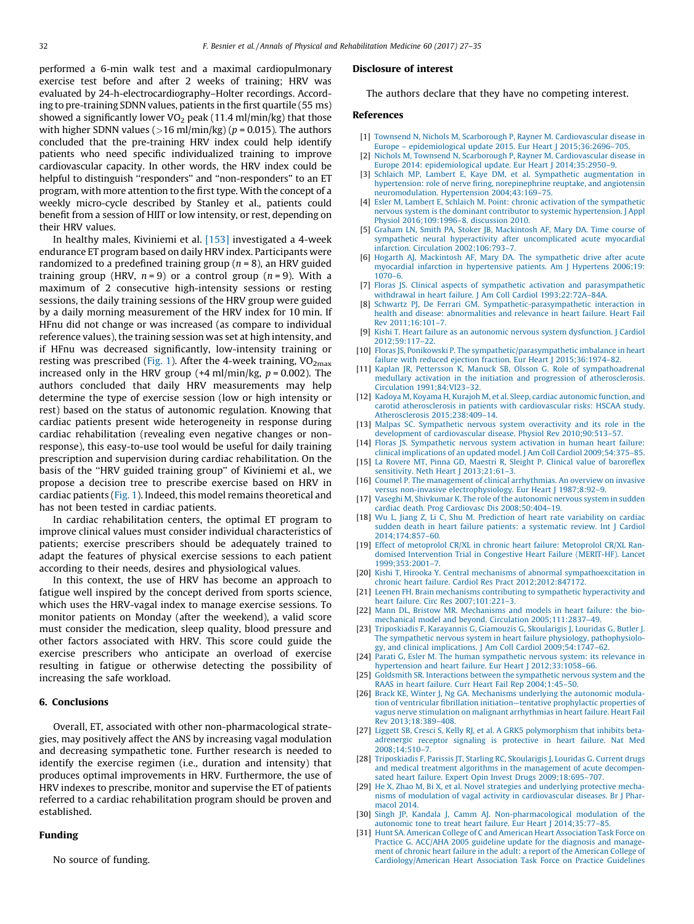<span id="page-5-0"></span>performed a 6-min walk test and a maximal cardiopulmonary exercise test before and after 2 weeks of training; HRV was evaluated by 24-h-electrocardiography–Holter recordings. According to pre-training SDNN values, patients in the first quartile (55 ms) showed a significantly lower VO<sub>2</sub> peak (11.4 ml/min/kg) that those with higher SDNN values ( $>16$  ml/min/kg) ( $p = 0.015$ ). The authors concluded that the pre-training HRV index could help identify patients who need specific individualized training to improve cardiovascular capacity. In other words, the HRV index could be helpful to distinguish ''responders'' and ''non-responders'' to an ET program, with more attention to the first type. With the concept of a weekly micro-cycle described by Stanley et al., patients could benefit from a session of HIIT or low intensity, or rest, depending on their HRV values.

In healthy males, Kiviniemi et al. [\[153\]](#page-8-0) investigated a 4-week endurance ET program based on daily HRV index. Participants were randomized to a predefined training group ( $n = 8$ ), an HRV guided training group (HRV,  $n = 9$ ) or a control group ( $n = 9$ ). With a maximum of 2 consecutive high-intensity sessions or resting sessions, the daily training sessions of the HRV group were guided by a daily morning measurement of the HRV index for 10 min. If HFnu did not change or was increased (as compare to individual reference values), the training session was set at high intensity, and if HFnu was decreased significantly, low-intensity training or resting was prescribed [\(Fig.](#page-4-0) 1). After the 4-week training,  $VO<sub>2max</sub>$ increased only in the HRV group  $(+4 \text{ ml/min/kg}, p = 0.002)$ . The authors concluded that daily HRV measurements may help determine the type of exercise session (low or high intensity or rest) based on the status of autonomic regulation. Knowing that cardiac patients present wide heterogeneity in response during cardiac rehabilitation (revealing even negative changes or nonresponse), this easy-to-use tool would be useful for daily training prescription and supervision during cardiac rehabilitation. On the basis of the ''HRV guided training group'' of Kiviniemi et al., we propose a decision tree to prescribe exercise based on HRV in cardiac patients [\(Fig.](#page-4-0) 1). Indeed, this model remains theoretical and has not been tested in cardiac patients.

In cardiac rehabilitation centers, the optimal ET program to improve clinical values must consider individual characteristics of patients; exercise prescribers should be adequately trained to adapt the features of physical exercise sessions to each patient according to their needs, desires and physiological values.

In this context, the use of HRV has become an approach to fatigue well inspired by the concept derived from sports science, which uses the HRV-vagal index to manage exercise sessions. To monitor patients on Monday (after the weekend), a valid score must consider the medication, sleep quality, blood pressure and other factors associated with HRV. This score could guide the exercise prescribers who anticipate an overload of exercise resulting in fatigue or otherwise detecting the possibility of increasing the safe workload.

# 6. Conclusions

Overall, ET, associated with other non-pharmacological strategies, may positively affect the ANS by increasing vagal modulation and decreasing sympathetic tone. Further research is needed to identify the exercise regimen (i.e., duration and intensity) that produces optimal improvements in HRV. Furthermore, the use of HRV indexes to prescribe, monitor and supervise the ET of patients referred to a cardiac rehabilitation program should be proven and established.

# Funding

No source of funding.

## Disclosure of interest

The authors declare that they have no competing interest.

# References

- [1] Townsend N, Nichols M, Scarborough P, Rayner M. [Cardiovascular](http://refhub.elsevier.com/S1877-0657(16)30081-1/sbref0775) disease in Europe – epidemiological update 2015. Eur Heart J [2015;36:2696–705](http://refhub.elsevier.com/S1877-0657(16)30081-1/sbref0775).
- [2] Nichols M, Townsend N, Scarborough P, Rayner M. [Cardiovascular](http://refhub.elsevier.com/S1877-0657(16)30081-1/sbref0780) disease in Europe 2014: epidemiological update. Eur Heart J [2014;35:2950–9](http://refhub.elsevier.com/S1877-0657(16)30081-1/sbref0780).
- [3] Schlaich MP, Lambert E, Kaye DM, et al. Sympathetic [augmentation](http://refhub.elsevier.com/S1877-0657(16)30081-1/sbref0785) in hypertension: role of nerve firing, [norepinephrine](http://refhub.elsevier.com/S1877-0657(16)30081-1/sbref0785) reuptake, and angiotensin [neuromodulation.](http://refhub.elsevier.com/S1877-0657(16)30081-1/sbref0785) Hypertension 2004;43:169–75.
- [4] Esler M, Lambert E, Schlaich M. Point: chronic activation of the [sympathetic](http://refhub.elsevier.com/S1877-0657(16)30081-1/sbref0790) nervous system is the dominant contributor to systemic [hypertension.](http://refhub.elsevier.com/S1877-0657(16)30081-1/sbref0790) J Appl Physiol [2016;109:1996–8.](http://refhub.elsevier.com/S1877-0657(16)30081-1/sbref0790) discussion 2010.
- [5] Graham LN, Smith PA, Stoker JB, [Mackintosh](http://refhub.elsevier.com/S1877-0657(16)30081-1/sbref0795) AF, Mary DA. Time course of sympathetic neural hyperactivity after [uncomplicated](http://refhub.elsevier.com/S1877-0657(16)30081-1/sbref0795) acute myocardial infarction. Circulation [2002;106:793–7.](http://refhub.elsevier.com/S1877-0657(16)30081-1/sbref0795)
- [6] Hogarth AJ, Mackintosh AF, Mary DA. The [sympathetic](http://refhub.elsevier.com/S1877-0657(16)30081-1/sbref0800) drive after acute myocardial infarction in [hypertensive](http://refhub.elsevier.com/S1877-0657(16)30081-1/sbref0800) patients. Am J Hypertens 2006;19: [1070–6](http://refhub.elsevier.com/S1877-0657(16)30081-1/sbref0800).
- [7] Floras JS. Clinical aspects of sympathetic activation and [parasympathetic](http://refhub.elsevier.com/S1877-0657(16)30081-1/sbref0805) withdrawal in heart failure. J Am Coll Cardiol [1993;22:72A–84A.](http://refhub.elsevier.com/S1877-0657(16)30081-1/sbref0805)
- [8] Schwartz PJ, De Ferrari GM. [Sympathetic-parasympathetic](http://refhub.elsevier.com/S1877-0657(16)30081-1/sbref0810) interaction in health and disease: [abnormalities](http://refhub.elsevier.com/S1877-0657(16)30081-1/sbref0810) and relevance in heart failure. Heart Fail Rev [2011;16:101–7.](http://refhub.elsevier.com/S1877-0657(16)30081-1/sbref0810)
- [9] Kishi T. Heart failure as an autonomic nervous system [dysfunction.](http://refhub.elsevier.com/S1877-0657(16)30081-1/sbref0815) J Cardiol [2012;59:117–22](http://refhub.elsevier.com/S1877-0657(16)30081-1/sbref0815).
- [10] Floras JS, Ponikowski P. The [sympathetic/parasympathetic](http://refhub.elsevier.com/S1877-0657(16)30081-1/sbref0820) imbalance in heart failure with reduced ejection fraction. Eur Heart J [2015;36:1974–82](http://refhub.elsevier.com/S1877-0657(16)30081-1/sbref0820).
- Kaplan JR, Pettersson K, Manuck SB, Olsson G. Role of [sympathoadrenal](http://refhub.elsevier.com/S1877-0657(16)30081-1/sbref0825) medullary activation in the initiation and progression of [atherosclerosis.](http://refhub.elsevier.com/S1877-0657(16)30081-1/sbref0825) Circulation [1991;84:VI23–32](http://refhub.elsevier.com/S1877-0657(16)30081-1/sbref0825).
- [12] Kadoya M, Koyama H, Kurajoh M, et al. Sleep, cardiac [autonomic](http://refhub.elsevier.com/S1877-0657(16)30081-1/sbref0830) function, and carotid [atherosclerosis](http://refhub.elsevier.com/S1877-0657(16)30081-1/sbref0830) in patients with cardiovascular risks: HSCAA study. Atherosclerosis [2015;238:409–14.](http://refhub.elsevier.com/S1877-0657(16)30081-1/sbref0830)
- [13] Malpas SC. [Sympathetic](http://refhub.elsevier.com/S1877-0657(16)30081-1/sbref0835) nervous system overactivity and its role in the development of cardiovascular disease. Physiol Rev [2010;90:513–57](http://refhub.elsevier.com/S1877-0657(16)30081-1/sbref0835).
- [14] Floras JS. [Sympathetic](http://refhub.elsevier.com/S1877-0657(16)30081-1/sbref0840) nervous system activation in human heart failure: clinical implications of an updated model. J Am Coll Cardiol [2009;54:375–85](http://refhub.elsevier.com/S1877-0657(16)30081-1/sbref0840).
- [15] La Rovere MT, Pinna GD, Maestri R, Sleight P. Clinical value of [baroreflex](http://refhub.elsevier.com/S1877-0657(16)30081-1/sbref0845) sensitivity. Neth Heart J 2013;21:61-3.
- [16] Coumel P. The [management](http://refhub.elsevier.com/S1877-0657(16)30081-1/sbref0850) of clinical arrhythmias. An overview on invasive versus non-invasive [electrophysiology.](http://refhub.elsevier.com/S1877-0657(16)30081-1/sbref0850) Eur Heart J 1987;8:92–9.
- [17] Vaseghi M, [Shivkumar](http://refhub.elsevier.com/S1877-0657(16)30081-1/sbref0855) K. The role of the autonomic nervous system in sudden cardiac death. Prog Cardiovasc Dis [2008;50:404–19.](http://refhub.elsevier.com/S1877-0657(16)30081-1/sbref0855)
- [18] Wu L, Jiang Z, Li C, Shu M. Prediction of heart rate [variability](http://refhub.elsevier.com/S1877-0657(16)30081-1/sbref0860) on cardiac sudden death in heart failure patients: a [systematic](http://refhub.elsevier.com/S1877-0657(16)30081-1/sbref0860) review. Int J Cardiol [2014;174:857–60.](http://refhub.elsevier.com/S1877-0657(16)30081-1/sbref0860)
- [19] Effect of metoprolol CR/XL in chronic heart failure: [Metoprolol](http://refhub.elsevier.com/S1877-0657(16)30081-1/sbref0865) CR/XL Randomised [Intervention](http://refhub.elsevier.com/S1877-0657(16)30081-1/sbref0865) Trial in Congestive Heart Failure (MERIT-HF). Lancet [1999;353:2001–7.](http://refhub.elsevier.com/S1877-0657(16)30081-1/sbref0865)
- [20] Kishi T, Hirooka Y. Central mechanisms of abnormal [sympathoexcitation](http://refhub.elsevier.com/S1877-0657(16)30081-1/sbref0870) in chronic heart failure. Cardiol Res Pract [2012;2012:847172.](http://refhub.elsevier.com/S1877-0657(16)30081-1/sbref0870)
- [21] Leenen FH. Brain mechanisms contributing to sympathetic [hyperactivity](http://refhub.elsevier.com/S1877-0657(16)30081-1/sbref0875) and heart failure. Circ Res [2007;101:221–3](http://refhub.elsevier.com/S1877-0657(16)30081-1/sbref0875).
- [22] Mann DL, Bristow MR. [Mechanisms](http://refhub.elsevier.com/S1877-0657(16)30081-1/sbref0880) and models in heart failure: the biomechanical model and beyond. Circulation [2005;111:2837–49.](http://refhub.elsevier.com/S1877-0657(16)30081-1/sbref0880)
- [23] [Triposkiadis](http://refhub.elsevier.com/S1877-0657(16)30081-1/sbref0885) F, Karayannis G, Giamouzis G, Skoularigis J, Louridas G, Butler J. The sympathetic nervous system in heart failure physiology, [pathophysiolo](http://refhub.elsevier.com/S1877-0657(16)30081-1/sbref0885)gy, and clinical implications. J Am Coll Cardiol [2009;54:1747–62.](http://refhub.elsevier.com/S1877-0657(16)30081-1/sbref0885)
- [24] Parati G, Esler M. The human [sympathetic](http://refhub.elsevier.com/S1877-0657(16)30081-1/sbref0890) nervous system: its relevance in hypertension and heart failure. Eur Heart J 2012;33:1058-66.
- [25] Goldsmith SR. Interactions between the [sympathetic](http://refhub.elsevier.com/S1877-0657(16)30081-1/sbref0895) nervous system and the RAAS in heart failure. Curr Heart Fail Rep [2004;1:45–50](http://refhub.elsevier.com/S1877-0657(16)30081-1/sbref0895).
- [26] Brack KE, Winter J, Ng GA. [Mechanisms](http://refhub.elsevier.com/S1877-0657(16)30081-1/sbref0900) underlying the autonomic modulation of ventricular fibrillation [initiation—tentative](http://refhub.elsevier.com/S1877-0657(16)30081-1/sbref0900) prophylactic properties of vagus nerve stimulation on malignant [arrhythmias](http://refhub.elsevier.com/S1877-0657(16)30081-1/sbref0900) in heart failure. Heart Fail Rev [2013;18:389–408](http://refhub.elsevier.com/S1877-0657(16)30081-1/sbref0900).
- [27] Liggett SB, Cresci S, Kelly RJ, et al. A GRK5 [polymorphism](http://refhub.elsevier.com/S1877-0657(16)30081-1/sbref0905) that inhibits beta[adrenergic](http://refhub.elsevier.com/S1877-0657(16)30081-1/sbref0905) receptor signaling is protective in heart failure. Nat Med [2008;14:510–7.](http://refhub.elsevier.com/S1877-0657(16)30081-1/sbref0905)
- [28] [Triposkiadis](http://refhub.elsevier.com/S1877-0657(16)30081-1/sbref0910) F, Parissis JT, Starling RC, Skoularigis J, Louridas G. Current drugs and medical treatment algorithms in the [management](http://refhub.elsevier.com/S1877-0657(16)30081-1/sbref0910) of acute decompensated heart failure. Expert Opin Invest Drugs [2009;18:695–707](http://refhub.elsevier.com/S1877-0657(16)30081-1/sbref0910).
- [29] He X, Zhao M, Bi X, et al. Novel strategies and [underlying](http://refhub.elsevier.com/S1877-0657(16)30081-1/sbref0915) protective mechanisms of modulation of vagal activity in [cardiovascular](http://refhub.elsevier.com/S1877-0657(16)30081-1/sbref0915) diseases. Br J Phar[macol](http://refhub.elsevier.com/S1877-0657(16)30081-1/sbref0915) 2014.
- [30] Singh JP, Kandala J, Camm AJ. [Non-pharmacological](http://refhub.elsevier.com/S1877-0657(16)30081-1/sbref0920) modulation of the autonomic tone to treat heart failure. Eur Heart J [2014;35:77–85](http://refhub.elsevier.com/S1877-0657(16)30081-1/sbref0920).
- [31] Hunt SA. American College of C and American Heart [Association](http://refhub.elsevier.com/S1877-0657(16)30081-1/sbref0925) Task Force on Practice G. ACC/AHA 2005 guideline update for the [diagnosis](http://refhub.elsevier.com/S1877-0657(16)30081-1/sbref0925) and management of chronic heart failure in the adult: a report of the [American](http://refhub.elsevier.com/S1877-0657(16)30081-1/sbref0925) College of [Cardiology/American](http://refhub.elsevier.com/S1877-0657(16)30081-1/sbref0925) Heart Association Task Force on Practice Guidelines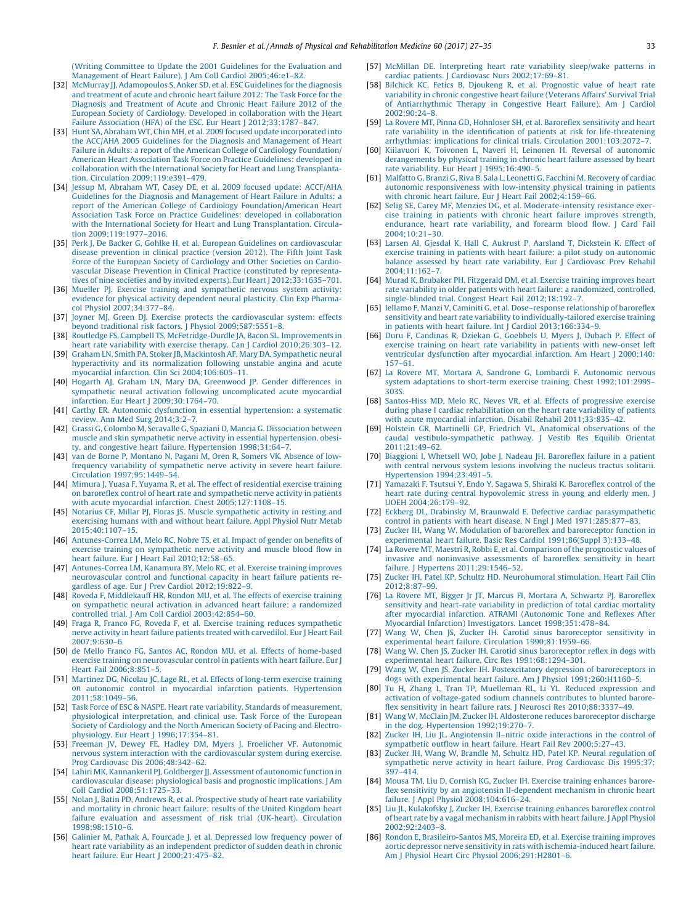<span id="page-6-0"></span>(Writing [Committee](http://refhub.elsevier.com/S1877-0657(16)30081-1/sbref0925) to Update the 2001 Guidelines for the Evaluation and Management of Heart Failure). J Am Coll Cardiol [2005;46:e1–82](http://refhub.elsevier.com/S1877-0657(16)30081-1/sbref0925).

- [32] McMurray JJ, [Adamopoulos](http://refhub.elsevier.com/S1877-0657(16)30081-1/sbref0930) S, Anker SD, et al. ESC Guidelines for the diagnosis and [treatment](http://refhub.elsevier.com/S1877-0657(16)30081-1/sbref0930) of acute and chronic heart failure 2012: The Task Force for the Diagnosis and [Treatment](http://refhub.elsevier.com/S1877-0657(16)30081-1/sbref0930) of Acute and Chronic Heart Failure 2012 of the European Society of Cardiology. Developed in [collaboration](http://refhub.elsevier.com/S1877-0657(16)30081-1/sbref0930) with the Heart Failure Association (HFA) of the ESC. Eur Heart J 2012;33:1787-847.
- [33] Hunt SA, Abraham WT, Chin MH, et al. 2009 focused update [incorporated](http://refhub.elsevier.com/S1877-0657(16)30081-1/sbref0935) into the ACC/AHA 2005 Guidelines for the Diagnosis and [Management](http://refhub.elsevier.com/S1877-0657(16)30081-1/sbref0935) of Heart Failure in Adults: a report of the American College of Cardiology [Foundation/](http://refhub.elsevier.com/S1877-0657(16)30081-1/sbref0935) American Heart [Association](http://refhub.elsevier.com/S1877-0657(16)30081-1/sbref0935) Task Force on Practice Guidelines: developed in [collaboration](http://refhub.elsevier.com/S1877-0657(16)30081-1/sbref0935) with the International Society for Heart and Lung Transplantation. Circulation [2009;119:e391–479.](http://refhub.elsevier.com/S1877-0657(16)30081-1/sbref0935)
- [34] Jessup M, Abraham WT, Casey DE, et al. 2009 focused update: [ACCF/AHA](http://refhub.elsevier.com/S1877-0657(16)30081-1/sbref0940) Guidelines for the Diagnosis and [Management](http://refhub.elsevier.com/S1877-0657(16)30081-1/sbref0940) of Heart Failure in Adults: a report of the American College of Cardiology [Foundation/American](http://refhub.elsevier.com/S1877-0657(16)30081-1/sbref0940) Heart Association Task Force on Practice Guidelines: developed in [collaboration](http://refhub.elsevier.com/S1877-0657(16)30081-1/sbref0940) with the International Society for Heart and Lung [Transplantation.](http://refhub.elsevier.com/S1877-0657(16)30081-1/sbref0940) Circulation [2009;119:1977–2016](http://refhub.elsevier.com/S1877-0657(16)30081-1/sbref0940).
- [35] Perk J, De Backer G, Gohlke H, et al. European Guidelines on [cardiovascular](http://refhub.elsevier.com/S1877-0657(16)30081-1/sbref0945) disease [prevention](http://refhub.elsevier.com/S1877-0657(16)30081-1/sbref0945) in clinical practice (version 2012). The Fifth Joint Task Force of the European Society of [Cardiology](http://refhub.elsevier.com/S1877-0657(16)30081-1/sbref0945) and Other Societies on Cardiovascular Disease Prevention in Clinical Practice [\(constituted](http://refhub.elsevier.com/S1877-0657(16)30081-1/sbref0945) by representatives of nine societies and by invited experts). Eur Heart J [2012;33:1635–701.](http://refhub.elsevier.com/S1877-0657(16)30081-1/sbref0945)
- [36] Mueller PJ. Exercise training and [sympathetic](http://refhub.elsevier.com/S1877-0657(16)30081-1/sbref0950) nervous system activity: evidence for physical activity [dependent](http://refhub.elsevier.com/S1877-0657(16)30081-1/sbref0950) neural plasticity. Clin Exp Pharmacol Physiol [2007;34:377–84](http://refhub.elsevier.com/S1877-0657(16)30081-1/sbref0950).
- [37] Joyner MJ, Green DJ. Exercise protects the [cardiovascular](http://refhub.elsevier.com/S1877-0657(16)30081-1/sbref0955) system: effects beyond traditional risk factors. J Physiol [2009;587:5551–8](http://refhub.elsevier.com/S1877-0657(16)30081-1/sbref0955).
- [38] Routledge FS, Campbell TS, [McFetridge-Durdle](http://refhub.elsevier.com/S1877-0657(16)30081-1/sbref0960) JA, Bacon SL. Improvements in heart rate variability with exercise therapy. Can J Cardiol 2010;26:303-12.
- [39] Graham LN, Smith PA, Stoker JB, Mackintosh AF, Mary DA. [Sympathetic](http://refhub.elsevier.com/S1877-0657(16)30081-1/sbref0965) neural hyperactivity and its [normalization](http://refhub.elsevier.com/S1877-0657(16)30081-1/sbref0965) following unstable angina and acute myocardial infarction. Clin Sci [2004;106:605–11](http://refhub.elsevier.com/S1877-0657(16)30081-1/sbref0965).
- [40] Hogarth AJ, Graham LN, Mary DA, [Greenwood](http://refhub.elsevier.com/S1877-0657(16)30081-1/sbref0970) JP. Gender differences in sympathetic neural activation following [uncomplicated](http://refhub.elsevier.com/S1877-0657(16)30081-1/sbref0970) acute myocardial infarction. Eur Heart J [2009;30:1764–70](http://refhub.elsevier.com/S1877-0657(16)30081-1/sbref0970).
- [41] Carthy ER. Autonomic dysfunction in essential [hypertension:](http://refhub.elsevier.com/S1877-0657(16)30081-1/sbref0975) a systematic review. Ann Med Surg [2014;3:2–7](http://refhub.elsevier.com/S1877-0657(16)30081-1/sbref0975).
- [42] Grassi G, Colombo M, Seravalle G, Spaziani D, Mancia G. [Dissociation](http://refhub.elsevier.com/S1877-0657(16)30081-1/sbref0980) between muscle and skin sympathetic nerve activity in essential [hypertension,](http://refhub.elsevier.com/S1877-0657(16)30081-1/sbref0980) obesity, and congestive heart failure. Hypertension [1998;31:64–7.](http://refhub.elsevier.com/S1877-0657(16)30081-1/sbref0980)
- [43] van de Borne P, [Montano](http://refhub.elsevier.com/S1877-0657(16)30081-1/sbref0985) N, Pagani M, Oren R, Somers VK, Absence of lowfrequency variability of [sympathetic](http://refhub.elsevier.com/S1877-0657(16)30081-1/sbref0985) nerve activity in severe heart failure. Circulation [1997;95:1449–54](http://refhub.elsevier.com/S1877-0657(16)30081-1/sbref0985).
- [44] Mimura J, Yuasa F, Yuyama R, et al. The effect of [residential](http://refhub.elsevier.com/S1877-0657(16)30081-1/sbref0990) exercise training on baroreflex control of heart rate and [sympathetic](http://refhub.elsevier.com/S1877-0657(16)30081-1/sbref0990) nerve activity in patients with acute myocardial infarction. Chest [2005;127:1108–15.](http://refhub.elsevier.com/S1877-0657(16)30081-1/sbref0990)
- [45] Notarius CF, Millar PJ, Floras JS. Muscle [sympathetic](http://refhub.elsevier.com/S1877-0657(16)30081-1/sbref0995) activity in resting and [exercising](http://refhub.elsevier.com/S1877-0657(16)30081-1/sbref0995) humans with and without heart failure. Appl Physiol Nutr Metab [2015;40:1107–15](http://refhub.elsevier.com/S1877-0657(16)30081-1/sbref0995).
- [46] [Antunes-Correa](http://refhub.elsevier.com/S1877-0657(16)30081-1/sbref1000) LM, Melo RC, Nobre TS, et al. Impact of gender on benefits of exercise training on [sympathetic](http://refhub.elsevier.com/S1877-0657(16)30081-1/sbref1000) nerve activity and muscle blood flow in heart failure. Eur J Heart Fail [2010;12:58–65.](http://refhub.elsevier.com/S1877-0657(16)30081-1/sbref1000)
- [47] [Antunes-Correa](http://refhub.elsevier.com/S1877-0657(16)30081-1/sbref1005) LM, Kanamura BY, Melo RC, et al. Exercise training improves [neurovascular](http://refhub.elsevier.com/S1877-0657(16)30081-1/sbref1005) control and functional capacity in heart failure patients regardless of age. Eur J Prev Cardiol [2012;19:822–9](http://refhub.elsevier.com/S1877-0657(16)30081-1/sbref1005).
- [48] Roveda F, [Middlekauff](http://refhub.elsevier.com/S1877-0657(16)30081-1/sbref1010) HR, Rondon MU, et al. The effects of exercise training on [sympathetic](http://refhub.elsevier.com/S1877-0657(16)30081-1/sbref1010) neural activation in advanced heart failure: a randomized controlled trial. J Am Coll Cardiol [2003;42:854–60](http://refhub.elsevier.com/S1877-0657(16)30081-1/sbref1010).
- [49] Fraga R, Franco FG, Roveda F, et al. Exercise training reduces [sympathetic](http://refhub.elsevier.com/S1877-0657(16)30081-1/sbref1015) nerve activity in heart failure patients treated with [carvedilol.](http://refhub.elsevier.com/S1877-0657(16)30081-1/sbref1015) Eur J Heart Fail [2007;9:630–6.](http://refhub.elsevier.com/S1877-0657(16)30081-1/sbref1015)
- [50] de Mello Franco FG, Santos AC, Rondon MU, et al. Effects of [home-based](http://refhub.elsevier.com/S1877-0657(16)30081-1/sbref1020) exercise training on [neurovascular](http://refhub.elsevier.com/S1877-0657(16)30081-1/sbref1020) control in patients with heart failure. Eur J Heart Fail [2006;8:851–5](http://refhub.elsevier.com/S1877-0657(16)30081-1/sbref1020).
- [51] Martinez DG, Nicolau JC, Lage RL, et al. Effects of [long-term](http://refhub.elsevier.com/S1877-0657(16)30081-1/sbref1025) exercise training on autonomic control in myocardial infarction patients. [Hypertension](http://refhub.elsevier.com/S1877-0657(16)30081-1/sbref1025) [2011;58:1049–56.](http://refhub.elsevier.com/S1877-0657(16)30081-1/sbref1025)
- [52] Task Force of ESC & NASPE. Heart rate variability. Standards of [measurement,](http://refhub.elsevier.com/S1877-0657(16)30081-1/sbref1030) physiological [interpretation,](http://refhub.elsevier.com/S1877-0657(16)30081-1/sbref1030) and clinical use. Task Force of the European Society of [Cardiology](http://refhub.elsevier.com/S1877-0657(16)30081-1/sbref1030) and the North American Society of Pacing and Electrophysiology. Eur Heart J [1996;17:354–81](http://refhub.elsevier.com/S1877-0657(16)30081-1/sbref1030).
- [53] Freeman JV, Dewey FE, Hadley DM, Myers J, Froelicher VF. [Autonomic](http://refhub.elsevier.com/S1877-0657(16)30081-1/sbref1035) nervous system interaction with the [cardiovascular](http://refhub.elsevier.com/S1877-0657(16)30081-1/sbref1035) system during exercise. Prog Cardiovasc Dis [2006;48:342–62.](http://refhub.elsevier.com/S1877-0657(16)30081-1/sbref1035)
- [54] Lahiri MK, [Kannankeril](http://refhub.elsevier.com/S1877-0657(16)30081-1/sbref1040) PJ, Goldberger JJ. Assessment of autonomic function in [cardiovascular](http://refhub.elsevier.com/S1877-0657(16)30081-1/sbref1040) disease: physiological basis and prognostic implications. J Am Coll Cardiol [2008;51:1725–33](http://refhub.elsevier.com/S1877-0657(16)30081-1/sbref1040).
- [55] Nolan J, Batin PD, Andrews R, et al. [Prospective](http://refhub.elsevier.com/S1877-0657(16)30081-1/sbref1045) study of heart rate variability and [mortality](http://refhub.elsevier.com/S1877-0657(16)30081-1/sbref1045) in chronic heart failure: results of the United Kingdom heart failure evaluation and [assessment](http://refhub.elsevier.com/S1877-0657(16)30081-1/sbref1045) of risk trial (UK-heart). Circulation [1998;98:1510–6.](http://refhub.elsevier.com/S1877-0657(16)30081-1/sbref1045)
- [56] Galinier M, Pathak A, Fourcade J, et al. [Depressed](http://refhub.elsevier.com/S1877-0657(16)30081-1/sbref1050) low frequency power of heart rate variability as an [independent](http://refhub.elsevier.com/S1877-0657(16)30081-1/sbref1050) predictor of sudden death in chronic heart failure. Eur Heart J [2000;21:475–82.](http://refhub.elsevier.com/S1877-0657(16)30081-1/sbref1050)
- [57] McMillan DE. [Interpreting](http://refhub.elsevier.com/S1877-0657(16)30081-1/sbref1055) heart rate variability sleep/wake patterns in cardiac patients. J Cardiovasc Nurs [2002;17:69–81.](http://refhub.elsevier.com/S1877-0657(16)30081-1/sbref1055)
- [58] Bilchick KC, Fetics B, Djoukeng R, et al. [Prognostic](http://refhub.elsevier.com/S1877-0657(16)30081-1/sbref1060) value of heart rate variability in chronic [congestive](http://refhub.elsevier.com/S1877-0657(16)30081-1/sbref1060) heart failure (Veterans Affairs' Survival Trial of [Antiarrhythmic](http://refhub.elsevier.com/S1877-0657(16)30081-1/sbref1060) Therapy in Congestive Heart Failure). Am J Cardiol [2002;90:24–8.](http://refhub.elsevier.com/S1877-0657(16)30081-1/sbref1060)
- [59] La Rovere MT, Pinna GD, Hohnloser SH, et al. Baroreflex [sensitivity](http://refhub.elsevier.com/S1877-0657(16)30081-1/sbref1065) and heart rate variability in the identification of patients at risk for [life-threatening](http://refhub.elsevier.com/S1877-0657(16)30081-1/sbref1065) arrhythmias: implications for clinical trials. Circulation [2001;103:2072–7.](http://refhub.elsevier.com/S1877-0657(16)30081-1/sbref1065)
- [60] Kiilavuori K, Toivonen L, Naveri H, Leinonen H. Reversal of [autonomic](http://refhub.elsevier.com/S1877-0657(16)30081-1/sbref1070) [derangements](http://refhub.elsevier.com/S1877-0657(16)30081-1/sbref1070) by physical training in chronic heart failure assessed by heart rate variability. Eur Heart J [1995;16:490–5](http://refhub.elsevier.com/S1877-0657(16)30081-1/sbref1070).
- [61] Malfatto G, Branzi G, Riva B, Sala L, Leonetti G, Facchini M. [Recovery](http://refhub.elsevier.com/S1877-0657(16)30081-1/sbref1075) of cardiac autonomic [responsiveness](http://refhub.elsevier.com/S1877-0657(16)30081-1/sbref1075) with low-intensity physical training in patients with chronic heart failure. Eur J Heart Fail [2002;4:159–66](http://refhub.elsevier.com/S1877-0657(16)30081-1/sbref1075).
- [62] Selig SE, Carey MF, Menzies DG, et al. [Moderate-intensity](http://refhub.elsevier.com/S1877-0657(16)30081-1/sbref1080) resistance exercise training in patients with chronic heart failure [improves](http://refhub.elsevier.com/S1877-0657(16)30081-1/sbref1080) strength, [endurance,](http://refhub.elsevier.com/S1877-0657(16)30081-1/sbref1080) heart rate variability, and forearm blood flow. J Card Fail [2004;10:21–30.](http://refhub.elsevier.com/S1877-0657(16)30081-1/sbref1080)
- [63] Larsen AI, Gjesdal K, Hall C, Aukrust P, Aarsland T, [Dickstein](http://refhub.elsevier.com/S1877-0657(16)30081-1/sbref1085) K. Effect of exercise training in patients with heart failure: a pilot study on [autonomic](http://refhub.elsevier.com/S1877-0657(16)30081-1/sbref1085) balance assessed by heart rate variability. Eur J [Cardiovasc](http://refhub.elsevier.com/S1877-0657(16)30081-1/sbref1085) Prev Rehabil [2004;11:162–7.](http://refhub.elsevier.com/S1877-0657(16)30081-1/sbref1085)
- [64] Murad K, Brubaker PH, [Fitzgerald](http://refhub.elsevier.com/S1877-0657(16)30081-1/sbref1090) DM, et al. Exercise training improves heart rate variability in older patients with heart failure: a [randomized,](http://refhub.elsevier.com/S1877-0657(16)30081-1/sbref1090) controlled, single-blinded trial. Congest Heart Fail [2012;18:192–7](http://refhub.elsevier.com/S1877-0657(16)30081-1/sbref1090).
- [65] Iellamo F, Manzi V, Caminiti G, et al. [Dose–response](http://refhub.elsevier.com/S1877-0657(16)30081-1/sbref1095) relationship of baroreflex sensitivity and heart rate variability to [individually-tailored](http://refhub.elsevier.com/S1877-0657(16)30081-1/sbref1095) exercise training in patients with heart failure. Int J Cardiol 2013;166:334-9.
- [66] Duru F, Candinas R, Dziekan G, [Goebbels](http://refhub.elsevier.com/S1877-0657(16)30081-1/sbref1100) U, Myers J, Dubach P. Effect of exercise training on heart rate variability in patients with [new-onset](http://refhub.elsevier.com/S1877-0657(16)30081-1/sbref1100) left ventricular [dysfunction](http://refhub.elsevier.com/S1877-0657(16)30081-1/sbref1100) after myocardial infarction. Am Heart J 2000;140: [157–61.](http://refhub.elsevier.com/S1877-0657(16)30081-1/sbref1100)
- [67] La Rovere MT, Mortara A, Sandrone G, Lombardi F. [Autonomic](http://refhub.elsevier.com/S1877-0657(16)30081-1/sbref1105) nervous system adaptations to short-term exercise training. Chest [1992;101:299S–](http://refhub.elsevier.com/S1877-0657(16)30081-1/sbref1105) [303S.](http://refhub.elsevier.com/S1877-0657(16)30081-1/sbref1105)
- [68] [Santos-Hiss](http://refhub.elsevier.com/S1877-0657(16)30081-1/sbref1110) MD, Melo RC, Neves VR, et al. Effects of progressive exercise during phase I cardiac [rehabilitation](http://refhub.elsevier.com/S1877-0657(16)30081-1/sbref1110) on the heart rate variability of patients with acute myocardial infarction. Disabil Rehabil [2011;33:835–42](http://refhub.elsevier.com/S1877-0657(16)30081-1/sbref1110).
- [69] Holstein GR, Martinelli GP, Friedrich VL. Anatomical [observations](http://refhub.elsevier.com/S1877-0657(16)30081-1/sbref1115) of the caudal [vestibulo-sympathetic](http://refhub.elsevier.com/S1877-0657(16)30081-1/sbref1115) pathway. J Vestib Res Equilib Orientat [2011;21:49–62.](http://refhub.elsevier.com/S1877-0657(16)30081-1/sbref1115)
- [70] Biaggioni I, Whetsell WO, Jobe J, Nadeau JH. [Baroreflex](http://refhub.elsevier.com/S1877-0657(16)30081-1/sbref1120) failure in a patient with central nervous system lesions [involving](http://refhub.elsevier.com/S1877-0657(16)30081-1/sbref1120) the nucleus tractus solitarii. Hypertension [1994;23:491–5](http://refhub.elsevier.com/S1877-0657(16)30081-1/sbref1120).
- [71] Yamazaki F, Tsutsui Y, Endo Y, Sagawa S, Shiraki K. [Baroreflex](http://refhub.elsevier.com/S1877-0657(16)30081-1/sbref1125) control of the heart rate during central [hypovolemic](http://refhub.elsevier.com/S1877-0657(16)30081-1/sbref1125) stress in young and elderly men. J UOEH [2004;26:179–92](http://refhub.elsevier.com/S1877-0657(16)30081-1/sbref1125).
- [72] Eckberg DL, Drabinsky M, Braunwald E. Defective cardiac [parasympathetic](http://refhub.elsevier.com/S1877-0657(16)30081-1/sbref1130) control in patients with heart disease. N Engl J Med [1971;285:877–83](http://refhub.elsevier.com/S1877-0657(16)30081-1/sbref1130).
- [73] Zucker IH, Wang W. Modulation of baroreflex and [baroreceptor](http://refhub.elsevier.com/S1877-0657(16)30081-1/sbref1135) function in experimental heart failure. Basic Res Cardiol [1991;86\(Suppl](http://refhub.elsevier.com/S1877-0657(16)30081-1/sbref1135) 3):133–48.
- [74] La Rovere MT, Maestri R, Robbi E, et al. [Comparison](http://refhub.elsevier.com/S1877-0657(16)30081-1/sbref1140) of the prognostic values of invasive and noninvasive [assessments](http://refhub.elsevier.com/S1877-0657(16)30081-1/sbref1140) of baroreflex sensitivity in heart failure. J Hypertens [2011;29:1546–52](http://refhub.elsevier.com/S1877-0657(16)30081-1/sbref1140).
- [75] Zucker IH, Patel KP, Schultz HD. [Neurohumoral](http://refhub.elsevier.com/S1877-0657(16)30081-1/sbref1145) stimulation. Heart Fail Clin [2012;8:87–99.](http://refhub.elsevier.com/S1877-0657(16)30081-1/sbref1145)
- [76] La [Rovere](http://refhub.elsevier.com/S1877-0657(16)30081-1/sbref1150) MT, Bigger Jr JT, Marcus FI, Mortara A, Schwartz PJ. [Baroreflex](http://refhub.elsevier.com/S1877-0657(16)30081-1/sbref1150) sensitivity and heart-rate variability in [prediction](http://refhub.elsevier.com/S1877-0657(16)30081-1/sbref1150) of total cardiac mortality after myocardial infarction. ATRAMI [\(Autonomic](http://refhub.elsevier.com/S1877-0657(16)30081-1/sbref1150) Tone and Reflexes After Myocardial Infarction) Investigators. Lancet [1998;351:478–84.](http://refhub.elsevier.com/S1877-0657(16)30081-1/sbref1150)
- [77] Wang W, Chen JS, Zucker IH. Carotid sinus [baroreceptor](http://refhub.elsevier.com/S1877-0657(16)30081-1/sbref1155) sensitivity in experimental heart failure. Circulation [1990;81:1959–66](http://refhub.elsevier.com/S1877-0657(16)30081-1/sbref1155).
- [78] Wang W, Chen JS, Zucker IH. Carotid sinus [baroreceptor](http://refhub.elsevier.com/S1877-0657(16)30081-1/sbref1160) reflex in dogs with experimental heart failure. Circ Res [1991;68:1294–301](http://refhub.elsevier.com/S1877-0657(16)30081-1/sbref1160).
- [79] Wang W, Chen JS, Zucker IH. [Postexcitatory](http://refhub.elsevier.com/S1877-0657(16)30081-1/sbref1165) depression of baroreceptors in dogs with experimental heart failure. Am J Physiol [1991;260:H1160–5](http://refhub.elsevier.com/S1877-0657(16)30081-1/sbref1165).
- [80] Tu H, Zhang L, Tran TP, [Muelleman](http://refhub.elsevier.com/S1877-0657(16)30081-1/sbref1170) RL, Li YL. Reduced expression and activation of [voltage-gated](http://refhub.elsevier.com/S1877-0657(16)30081-1/sbref1170) sodium channels contributes to blunted baroreflex sensitivity in heart failure rats. J Neurosci Res [2010;88:3337–49.](http://refhub.elsevier.com/S1877-0657(16)30081-1/sbref1170)
- [81] Wang W, McClain JM, Zucker IH. Aldosterone reduces [baroreceptor](http://refhub.elsevier.com/S1877-0657(16)30081-1/sbref1175) discharge in the dog. Hypertension [1992;19:270–7.](http://refhub.elsevier.com/S1877-0657(16)30081-1/sbref1175)
- [82] Zucker IH, Liu JL. [Angiotensin](http://refhub.elsevier.com/S1877-0657(16)30081-1/sbref1180) II–nitric oxide interactions in the control of sympathetic outflow in heart failure. Heart Fail Rev [2000;5:27–43](http://refhub.elsevier.com/S1877-0657(16)30081-1/sbref1180).
- [83] Zucker IH, Wang W, Brandle M, Schultz HD, Patel KP. Neural [regulation](http://refhub.elsevier.com/S1877-0657(16)30081-1/sbref1185) of [sympathetic](http://refhub.elsevier.com/S1877-0657(16)30081-1/sbref1185) nerve activity in heart failure. Prog Cardiovasc Dis 1995;37: [397–414.](http://refhub.elsevier.com/S1877-0657(16)30081-1/sbref1185)
- [84] Mousa TM, Liu D, Cornish KG, Zucker IH. Exercise training [enhances](http://refhub.elsevier.com/S1877-0657(16)30081-1/sbref1190) baroreflex sensitivity by an angiotensin [II-dependent](http://refhub.elsevier.com/S1877-0657(16)30081-1/sbref1190) mechanism in chronic heart failure. J Appl Physiol [2008;104:616–24](http://refhub.elsevier.com/S1877-0657(16)30081-1/sbref1190).
- [85] Liu JL, [Kulakofsky](http://refhub.elsevier.com/S1877-0657(16)30081-1/sbref1195) J, Zucker IH. Exercise training enhances baroreflex control of heart rate by a vagal [mechanism](http://refhub.elsevier.com/S1877-0657(16)30081-1/sbref1195) in rabbits with heart failure. J Appl Physiol [2002;92:2403–8.](http://refhub.elsevier.com/S1877-0657(16)30081-1/sbref1195)
- [86] Rondon E, [Brasileiro-Santos](http://refhub.elsevier.com/S1877-0657(16)30081-1/sbref1200) MS, Moreira ED, et al. Exercise training improves aortic depressor nerve sensitivity in rats with [ischemia-induced](http://refhub.elsevier.com/S1877-0657(16)30081-1/sbref1200) heart failure. Am J Physiol Heart Circ Physiol [2006;291:H2801–6](http://refhub.elsevier.com/S1877-0657(16)30081-1/sbref1200).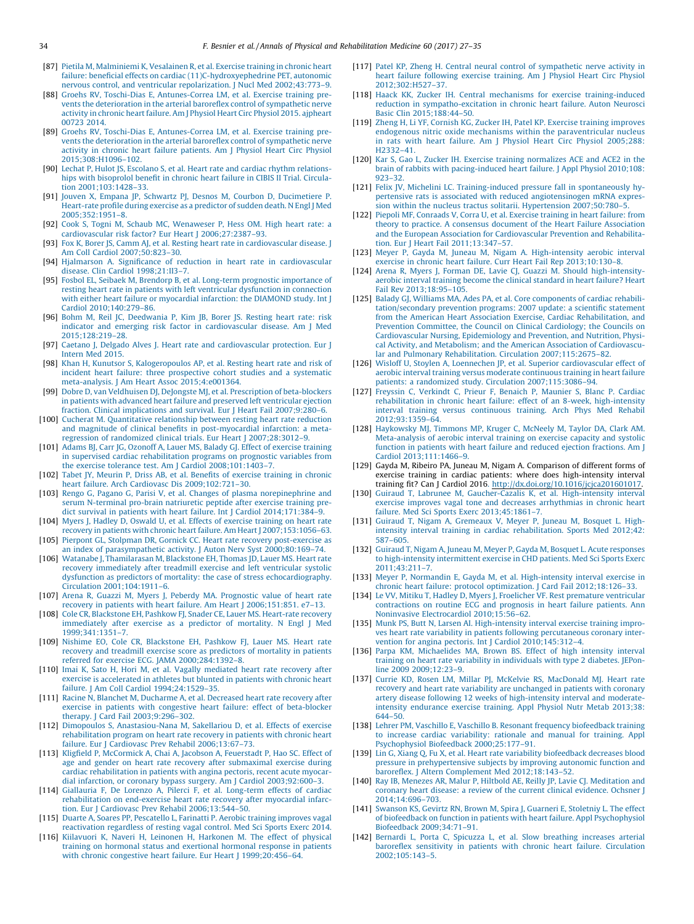- <span id="page-7-0"></span>[87] Pietila M, [Malminiemi](http://refhub.elsevier.com/S1877-0657(16)30081-1/sbref1205) K, Vesalainen R, et al. Exercise training in chronic heart failure: beneficial effects on cardiac [\(11\)C-hydroxyephedrine](http://refhub.elsevier.com/S1877-0657(16)30081-1/sbref1205) PET, autonomic nervous control, and ventricular repolarization. J Nucl Med [2002;43:773–9](http://refhub.elsevier.com/S1877-0657(16)30081-1/sbref1205).
- [88] Groehs RV, Toschi-Dias E, [Antunes-Correa](http://refhub.elsevier.com/S1877-0657(16)30081-1/sbref1210) LM, et al. Exercise training prevents the [deterioration](http://refhub.elsevier.com/S1877-0657(16)30081-1/sbref1210) in the arterial baroreflex control of sympathetic nerve activity in chronic heart failure. Am J Physiol Heart Circ Physiol 2015. ajpheart [00723](http://refhub.elsevier.com/S1877-0657(16)30081-1/sbref1210) 2014.
- [89] Groehs RV, Toschi-Dias E, [Antunes-Correa](http://refhub.elsevier.com/S1877-0657(16)30081-1/sbref1215) LM, et al. Exercise training prevents the [deterioration](http://refhub.elsevier.com/S1877-0657(16)30081-1/sbref1215) in the arterial baroreflex control of sympathetic nerve activity in chronic heart failure [patients.](http://refhub.elsevier.com/S1877-0657(16)30081-1/sbref1215) Am J Physiol Heart Circ Physiol [2015;308:H1096–102](http://refhub.elsevier.com/S1877-0657(16)30081-1/sbref1215).
- [90] Lechat P, Hulot JS, Escolano S, et al. Heart rate and cardiac rhythm [relations](http://refhub.elsevier.com/S1877-0657(16)30081-1/sbref1220)hips with [bisoprolol](http://refhub.elsevier.com/S1877-0657(16)30081-1/sbref1220) benefit in chronic heart failure in CIBIS II Trial. Circulation [2001;103:1428–33.](http://refhub.elsevier.com/S1877-0657(16)30081-1/sbref1220)
- [91] Jouven X, Empana JP, Schwartz PJ, Desnos M, Courbon D, [Ducimetiere](http://refhub.elsevier.com/S1877-0657(16)30081-1/sbref1225) P. [Heart-rate](http://refhub.elsevier.com/S1877-0657(16)30081-1/sbref1225) profile during exercise as a predictor of sudden death. N Engl J Med [2005;352:1951–8.](http://refhub.elsevier.com/S1877-0657(16)30081-1/sbref1225)
- [92] Cook S, Togni M, Schaub MC, [Wenaweser](http://refhub.elsevier.com/S1877-0657(16)30081-1/sbref1230) P, Hess OM. High heart rate: a cardiovascular risk factor? Eur Heart J [2006;27:2387–93.](http://refhub.elsevier.com/S1877-0657(16)30081-1/sbref1230)
- [93] Fox K, Borer JS, Camm AJ, et al. Resting heart rate in [cardiovascular](http://refhub.elsevier.com/S1877-0657(16)30081-1/sbref1235) disease. J Am Coll Cardiol [2007;50:823–30](http://refhub.elsevier.com/S1877-0657(16)30081-1/sbref1235).
- [94] Hjalmarson A. Significance of reduction in heart rate in [cardiovascular](http://refhub.elsevier.com/S1877-0657(16)30081-1/sbref1240) disease. Clin Cardiol [1998;21:II3–7.](http://refhub.elsevier.com/S1877-0657(16)30081-1/sbref1240)
- [95] Fosbol EL, Seibaek M, Brendorp B, et al. Long-term prognostic [importance](http://refhub.elsevier.com/S1877-0657(16)30081-1/sbref1245) of resting heart rate in patients with left ventricular [dysfunction](http://refhub.elsevier.com/S1877-0657(16)30081-1/sbref1245) in connection with either heart failure or [myocardial](http://refhub.elsevier.com/S1877-0657(16)30081-1/sbref1245) infarction: the DIAMOND study. Int J Cardiol [2010;140:279–86.](http://refhub.elsevier.com/S1877-0657(16)30081-1/sbref1245)
- [96] Bohm M, Reil JC, [Deedwania](http://refhub.elsevier.com/S1877-0657(16)30081-1/sbref1250) P, Kim JB, Borer JS. Resting heart rate: risk indicator and emerging risk factor in [cardiovascular](http://refhub.elsevier.com/S1877-0657(16)30081-1/sbref1250) disease. Am J Med [2015;128:219–28.](http://refhub.elsevier.com/S1877-0657(16)30081-1/sbref1250)
- [97] Caetano J, Delgado Alves J, Heart rate and [cardiovascular](http://refhub.elsevier.com/S1877-0657(16)30081-1/sbref1255) protection. Eur J [Intern](http://refhub.elsevier.com/S1877-0657(16)30081-1/sbref1255) Med 2015.
- [98] Khan H, Kunutsor S, [Kalogeropoulos](http://refhub.elsevier.com/S1877-0657(16)30081-1/sbref1260) AP, et al. Resting heart rate and risk of incident heart failure: three [prospective](http://refhub.elsevier.com/S1877-0657(16)30081-1/sbref1260) cohort studies and a systematic meta-analysis. J Am Heart Assoc [2015;4:e001364.](http://refhub.elsevier.com/S1877-0657(16)30081-1/sbref1260)
- [99] Dobre D, van Veldhuisen DJ, DeJongste MJ, et al. Prescription of [beta-blockers](http://refhub.elsevier.com/S1877-0657(16)30081-1/sbref1265) in patients with advanced heart failure and preserved left [ventricular](http://refhub.elsevier.com/S1877-0657(16)30081-1/sbref1265) ejection fraction. Clinical implications and survival. Eur J Heart Fail [2007;9:280–6](http://refhub.elsevier.com/S1877-0657(16)30081-1/sbref1265).
- [100] Cucherat M. [Quantitative](http://refhub.elsevier.com/S1877-0657(16)30081-1/sbref1270) relationship between resting heart rate reduction and magnitude of clinical benefits in [post-myocardial](http://refhub.elsevier.com/S1877-0657(16)30081-1/sbref1270) infarction: a metaregression of randomized clinical trials. Eur Heart J [2007;28:3012–9.](http://refhub.elsevier.com/S1877-0657(16)30081-1/sbref1270)
- [101] Adams BJ, Carr JG, Ozonoff A, Lauer MS, Balady GJ. Effect of [exercise](http://refhub.elsevier.com/S1877-0657(16)30081-1/sbref1275) training in supervised cardiac [rehabilitation](http://refhub.elsevier.com/S1877-0657(16)30081-1/sbref1275) programs on prognostic variables from the exercise tolerance test. Am J Cardiol [2008;101:1403–7](http://refhub.elsevier.com/S1877-0657(16)30081-1/sbref1275).
- [102] Tabet JY, Meurin P, Driss AB, et al. Benefits of [exercise](http://refhub.elsevier.com/S1877-0657(16)30081-1/sbref1280) training in chronic heart failure. Arch Cardiovasc Dis [2009;102:721–30.](http://refhub.elsevier.com/S1877-0657(16)30081-1/sbref1280)
- [103] Rengo G, Pagano G, Parisi V, et al. Changes of plasma [norepinephrine](http://refhub.elsevier.com/S1877-0657(16)30081-1/sbref1285) and serum [N-terminal](http://refhub.elsevier.com/S1877-0657(16)30081-1/sbref1285) pro-brain natriuretic peptide after exercise training predict survival in patients with heart failure. Int J Cardiol [2014;171:384–9](http://refhub.elsevier.com/S1877-0657(16)30081-1/sbref1285).
- [104] Myers J, Hadley D, Oswald U, et al. Effects of [exercise](http://refhub.elsevier.com/S1877-0657(16)30081-1/sbref1290) training on heart rate recovery in patients with chronic heart failure. Am Heart J [2007;153:1056–63](http://refhub.elsevier.com/S1877-0657(16)30081-1/sbref1290).
- [105] Pierpont GL, Stolpman DR, Gornick CC. Heart rate recovery [post-exercise](http://refhub.elsevier.com/S1877-0657(16)30081-1/sbref1295) as an index of [parasympathetic](http://refhub.elsevier.com/S1877-0657(16)30081-1/sbref1295) activity. J Auton Nerv Syst 2000;80:169–74.
- [106] Watanabe J, [Thamilarasan](http://refhub.elsevier.com/S1877-0657(16)30081-1/sbref1300) M, Blackstone EH, Thomas JD, Lauer MS. Heart rate recovery [immediately](http://refhub.elsevier.com/S1877-0657(16)30081-1/sbref1300) after treadmill exercise and left ventricular systolic dysfunction as predictors of mortality: the case of stress [echocardiography.](http://refhub.elsevier.com/S1877-0657(16)30081-1/sbref1300) Circulation [2001;104:1911–6.](http://refhub.elsevier.com/S1877-0657(16)30081-1/sbref1300)
- [107] Arena R, Guazzi M, Myers J, Peberdy MA. [Prognostic](http://refhub.elsevier.com/S1877-0657(16)30081-1/sbref1305) value of heart rate recovery in patients with heart failure. Am Heart J [2006;151:851.](http://refhub.elsevier.com/S1877-0657(16)30081-1/sbref1305) e7–13.
- [108] Cole CR, [Blackstone](http://refhub.elsevier.com/S1877-0657(16)30081-1/sbref1310) EH, Pashkow FJ, Snader CE, Lauer MS. Heart-rate recovery [immediately](http://refhub.elsevier.com/S1877-0657(16)30081-1/sbref1310) after exercise as a predictor of mortality. N Engl J Med [1999;341:1351–7](http://refhub.elsevier.com/S1877-0657(16)30081-1/sbref1310).
- [109] Nishime EO, Cole CR, [Blackstone](http://refhub.elsevier.com/S1877-0657(16)30081-1/sbref1315) EH, Pashkow FJ, Lauer MS. Heart rate recovery and treadmill exercise score as [predictors](http://refhub.elsevier.com/S1877-0657(16)30081-1/sbref1315) of mortality in patients referred for exercise ECG. JAMA [2000;284:1392–8](http://refhub.elsevier.com/S1877-0657(16)30081-1/sbref1315).
- [110] Imai K, Sato H, Hori M, et al. Vagally [mediated](http://refhub.elsevier.com/S1877-0657(16)30081-1/sbref1320) heart rate recovery after exercise is [accelerated](http://refhub.elsevier.com/S1877-0657(16)30081-1/sbref1320) in athletes but blunted in patients with chronic heart failure. J Am Coll Cardiol [1994;24:1529–35.](http://refhub.elsevier.com/S1877-0657(16)30081-1/sbref1320)
- [111] Racine N, Blanchet M, [Ducharme](http://refhub.elsevier.com/S1877-0657(16)30081-1/sbref1325) A, et al. Decreased heart rate recovery after exercise in patients with congestive heart failure: effect of [beta-blocker](http://refhub.elsevier.com/S1877-0657(16)30081-1/sbref1325) therapy. J Card Fail [2003;9:296–302](http://refhub.elsevier.com/S1877-0657(16)30081-1/sbref1325).
- [112] Dimopoulos S, [Anastasiou-Nana](http://refhub.elsevier.com/S1877-0657(16)30081-1/sbref1330) M, Sakellariou D, et al. Effects of exercise [rehabilitation](http://refhub.elsevier.com/S1877-0657(16)30081-1/sbref1330) program on heart rate recovery in patients with chronic heart failure. Eur J Cardiovasc Prev Rehabil [2006;13:67–73.](http://refhub.elsevier.com/S1877-0657(16)30081-1/sbref1330)
- [113] Kligfield P, [McCormick](http://refhub.elsevier.com/S1877-0657(16)30081-1/sbref1335) A, Chai A, Jacobson A, Feuerstadt P, Hao SC. Effect of age and gender on heart rate recovery after [submaximal](http://refhub.elsevier.com/S1877-0657(16)30081-1/sbref1335) exercise during cardiac [rehabilitation](http://refhub.elsevier.com/S1877-0657(16)30081-1/sbref1335) in patients with angina pectoris, recent acute myocardial infarction, or coronary bypass surgery. Am J Cardiol [2003;92:600–3](http://refhub.elsevier.com/S1877-0657(16)30081-1/sbref1335).
- [114] Giallauria F, De Lorenzo A, Pilerci F, et al. [Long-term](http://refhub.elsevier.com/S1877-0657(16)30081-1/sbref1340) effects of cardiac [rehabilitation](http://refhub.elsevier.com/S1877-0657(16)30081-1/sbref1340) on end-exercise heart rate recovery after myocardial infarction. Eur J Cardiovasc Prev Rehabil [2006;13:544–50](http://refhub.elsevier.com/S1877-0657(16)30081-1/sbref1340).
- [115] Duarte A, Soares PP, [Pescatello](http://refhub.elsevier.com/S1877-0657(16)30081-1/sbref1345) L, Farinatti P. Aerobic training improves vagal
- [reactivation](http://refhub.elsevier.com/S1877-0657(16)30081-1/sbref1345) regardless of resting vagal control. Med Sci Sports Exerc 2014. [116] Kiilavuori K, Naveri H, Leinonen H, [Harkonen](http://refhub.elsevier.com/S1877-0657(16)30081-1/sbref1350) M. The effect of physical training on hormonal status and [exertional](http://refhub.elsevier.com/S1877-0657(16)30081-1/sbref1350) hormonal response in patients with chronic congestive heart failure. Eur Heart J 1999;20:456-64.
- [117] Patel KP, Zheng H. Central neural control of [sympathetic](http://refhub.elsevier.com/S1877-0657(16)30081-1/sbref1355) nerve activity in heart failure [following](http://refhub.elsevier.com/S1877-0657(16)30081-1/sbref1355) exercise training. Am J Physiol Heart Circ Physiol [2012;302:H527–37](http://refhub.elsevier.com/S1877-0657(16)30081-1/sbref1355).
- [118] Haack KK, Zucker IH. Central mechanisms for exercise [training-induced](http://refhub.elsevier.com/S1877-0657(16)30081-1/sbref1360) reduction in [sympatho-excitation](http://refhub.elsevier.com/S1877-0657(16)30081-1/sbref1360) in chronic heart failure. Auton Neurosci Basic Clin [2015;188:44–50](http://refhub.elsevier.com/S1877-0657(16)30081-1/sbref1360).
- [119] Zheng H, Li YF, Cornish KG, Zucker IH, Patel KP. Exercise training [improves](http://refhub.elsevier.com/S1877-0657(16)30081-1/sbref1365) endogenous nitric oxide mechanisms within the [paraventricular](http://refhub.elsevier.com/S1877-0657(16)30081-1/sbref1365) nucleus in rats with heart failure. Am J Physiol Heart Circ Physiol [2005;288:](http://refhub.elsevier.com/S1877-0657(16)30081-1/sbref1365) [H2332–41](http://refhub.elsevier.com/S1877-0657(16)30081-1/sbref1365).
- [120] Kar S, Gao L, Zucker IH. Exercise training [normalizes](http://refhub.elsevier.com/S1877-0657(16)30081-1/sbref1370) ACE and ACE2 in the brain of rabbits with [pacing-induced](http://refhub.elsevier.com/S1877-0657(16)30081-1/sbref1370) heart failure. J Appl Physiol 2010;108: [923–32.](http://refhub.elsevier.com/S1877-0657(16)30081-1/sbref1370)
- [121] Felix JV, Michelini LC. [Training-induced](http://refhub.elsevier.com/S1877-0657(16)30081-1/sbref1375) pressure fall in spontaneously hypertensive rats is associated with reduced [angiotensinogen](http://refhub.elsevier.com/S1877-0657(16)30081-1/sbref1375) mRNA expression within the nucleus tractus solitarii. Hypertension [2007;50:780–5.](http://refhub.elsevier.com/S1877-0657(16)30081-1/sbref1375)
- [122] Piepoli MF, [Conraads](http://refhub.elsevier.com/S1877-0657(16)30081-1/sbref1380) V, Corra U, et al. Exercise training in heart failure: from theory to practice. A consensus document of the Heart Failure [Association](http://refhub.elsevier.com/S1877-0657(16)30081-1/sbref1380) and the European Association for [Cardiovascular](http://refhub.elsevier.com/S1877-0657(16)30081-1/sbref1380) Prevention and Rehabilitation. Eur J Heart Fail [2011;13:347–57.](http://refhub.elsevier.com/S1877-0657(16)30081-1/sbref1380)
- [123] Meyer P, Gayda M, Juneau M, Nigam A. [High-intensity](http://refhub.elsevier.com/S1877-0657(16)30081-1/sbref1385) aerobic interval exercise in chronic heart failure. Curr Heart Fail Rep [2013;10:130–8](http://refhub.elsevier.com/S1877-0657(16)30081-1/sbref1385).
- [124] Arena R, Myers J, Forman DE, Lavie CJ, Guazzi M. Should [high-intensity](http://refhub.elsevier.com/S1877-0657(16)30081-1/sbref1390)aerobic interval training become the clinical [standard](http://refhub.elsevier.com/S1877-0657(16)30081-1/sbref1390) in heart failure? Heart Fail Rev [2013;18:95–105.](http://refhub.elsevier.com/S1877-0657(16)30081-1/sbref1390)
- [125] Balady GJ, Williams MA, Ades PA, et al. Core [components](http://refhub.elsevier.com/S1877-0657(16)30081-1/sbref1395) of cardiac rehabili[tation/secondary](http://refhub.elsevier.com/S1877-0657(16)30081-1/sbref1395) prevention programs: 2007 update: a scientific statement from the American Heart Association Exercise, Cardiac [Rehabilitation,](http://refhub.elsevier.com/S1877-0657(16)30081-1/sbref1395) and Prevention [Committee,](http://refhub.elsevier.com/S1877-0657(16)30081-1/sbref1395) the Council on Clinical Cardiology; the Councils on [Cardiovascular](http://refhub.elsevier.com/S1877-0657(16)30081-1/sbref1395) Nursing, Epidemiology and Prevention, and Nutrition, Physical Activity, and Metabolism; and the American Association of [Cardiovascu](http://refhub.elsevier.com/S1877-0657(16)30081-1/sbref1395)lar and Pulmonary Rehabilitation. Circulation [2007;115:2675–82](http://refhub.elsevier.com/S1877-0657(16)30081-1/sbref1395).
- [126] Wisloff U, Stoylen A, Loennechen JP, et al. Superior [cardiovascular](http://refhub.elsevier.com/S1877-0657(16)30081-1/sbref1400) effect of aerobic interval training versus moderate [continuous](http://refhub.elsevier.com/S1877-0657(16)30081-1/sbref1400) training in heart failure patients: a randomized study. Circulation [2007;115:3086–94.](http://refhub.elsevier.com/S1877-0657(16)30081-1/sbref1400)
- [127] Freyssin C, [Verkindt](http://refhub.elsevier.com/S1877-0657(16)30081-1/sbref1405) C, Prieur F, Benaich P, Maunier S, Blanc P. Cardiac rehabilitation in chronic heart failure: effect of an 8-week, [high-intensity](http://refhub.elsevier.com/S1877-0657(16)30081-1/sbref1405) interval training versus [continuous](http://refhub.elsevier.com/S1877-0657(16)30081-1/sbref1405) training. Arch Phys Med Rehabil [2012;93:1359–64](http://refhub.elsevier.com/S1877-0657(16)30081-1/sbref1405).
- [128] [Haykowsky](http://refhub.elsevier.com/S1877-0657(16)30081-1/sbref1410) MJ, Timmons MP, Kruger C, McNeely M, Taylor DA, Clark AM. [Meta-analysis](http://refhub.elsevier.com/S1877-0657(16)30081-1/sbref1410) of aerobic interval training on exercise capacity and systolic function in patients with heart failure and reduced ejection [fractions.](http://refhub.elsevier.com/S1877-0657(16)30081-1/sbref1410) Am J Cardiol [2013;111:1466–9](http://refhub.elsevier.com/S1877-0657(16)30081-1/sbref1410).
- [129] Gayda M, Ribeiro PA, Juneau M, Nigam A. Comparison of different forms of exercise training in cardiac patients: where does high-intensity interval training fit? Can J Cardiol 2016[.](http://dx.doi.org/10.1016/jcjca201601017) [http://dx.doi.org/10.1016/jcjca201601017.](http://dx.doi.org/10.1016/jcjca201601017)
- [130] Guiraud T, Labrunee M, [Gaucher-Cazalis](http://refhub.elsevier.com/S1877-0657(16)30081-1/sbref1420) K, et al. High-intensity interval exercise improves vagal tone and decreases [arrhythmias](http://refhub.elsevier.com/S1877-0657(16)30081-1/sbref1420) in chronic heart failure. Med Sci Sports Exerc [2013;45:1861–7](http://refhub.elsevier.com/S1877-0657(16)30081-1/sbref1420).
- [131] Guiraud T, Nigam A, [Gremeaux](http://refhub.elsevier.com/S1877-0657(16)30081-1/sbref1425) V, Meyer P, Juneau M, Bosquet L. Highintensity interval training in cardiac [rehabilitation.](http://refhub.elsevier.com/S1877-0657(16)30081-1/sbref1425) Sports Med 2012;42: [587–605](http://refhub.elsevier.com/S1877-0657(16)30081-1/sbref1425).
- [132] Guiraud T, Nigam A, Juneau M, Meyer P, Gayda M, Bosquet L. Acute [responses](http://refhub.elsevier.com/S1877-0657(16)30081-1/sbref1430) to [high-intensity](http://refhub.elsevier.com/S1877-0657(16)30081-1/sbref1430) intermittent exercise in CHD patients. Med Sci Sports Exerc  $2011:43:211-7$
- [133] Meyer P, Normandin E, Gayda M, et al. [High-intensity](http://refhub.elsevier.com/S1877-0657(16)30081-1/sbref1435) interval exercise in chronic heart failure: protocol optimization. J Card Fail [2012;18:126–33](http://refhub.elsevier.com/S1877-0657(16)30081-1/sbref1435).
- [134] Le VV, Mitiku T, Hadley D, Myers J, Froelicher VF. Rest premature [ventricular](http://refhub.elsevier.com/S1877-0657(16)30081-1/sbref1440) [contractions](http://refhub.elsevier.com/S1877-0657(16)30081-1/sbref1440) on routine ECG and prognosis in heart failure patients. Ann Noninvasive Electrocardiol [2010;15:56–62.](http://refhub.elsevier.com/S1877-0657(16)30081-1/sbref1440)
- [135] Munk PS, Butt N, Larsen AI. [High-intensity](http://refhub.elsevier.com/S1877-0657(16)30081-1/sbref1445) interval exercise training improves heart rate variability in patients following [percutaneous](http://refhub.elsevier.com/S1877-0657(16)30081-1/sbref1445) coronary intervention for angina pectoris. Int J Cardiol [2010;145:312–4.](http://refhub.elsevier.com/S1877-0657(16)30081-1/sbref1445)
- [136] Parpa KM, [Michaelides](http://refhub.elsevier.com/S1877-0657(16)30081-1/sbref1450) MA, Brown BS. Effect of high intensity interval training on heart rate variability in [individuals](http://refhub.elsevier.com/S1877-0657(16)30081-1/sbref1450) with type 2 diabetes. JEPonline 2009 [2009;12:23–9.](http://refhub.elsevier.com/S1877-0657(16)30081-1/sbref1450)
- [137] Currie KD, Rosen LM, Millar PJ, McKelvie RS, [MacDonald](http://refhub.elsevier.com/S1877-0657(16)30081-1/sbref1455) MJ. Heart rate recovery and heart rate variability are [unchanged](http://refhub.elsevier.com/S1877-0657(16)30081-1/sbref1455) in patients with coronary artery disease following 12 weeks of [high-intensity](http://refhub.elsevier.com/S1877-0657(16)30081-1/sbref1455) interval and moderateintensity [endurance](http://refhub.elsevier.com/S1877-0657(16)30081-1/sbref1455) exercise training. Appl Physiol Nutr Metab 2013;38: [644–50.](http://refhub.elsevier.com/S1877-0657(16)30081-1/sbref1455)
- [138] Lehrer PM, Vaschillo E, Vaschillo B. Resonant frequency [biofeedback](http://refhub.elsevier.com/S1877-0657(16)30081-1/sbref1460) training to increase cardiac [variability:](http://refhub.elsevier.com/S1877-0657(16)30081-1/sbref1460) rationale and manual for training. Appl Psychophysiol Biofeedback [2000;25:177–91](http://refhub.elsevier.com/S1877-0657(16)30081-1/sbref1460).
- [139] Lin G, Xiang Q, Fu X, et al. Heart rate variability [biofeedback](http://refhub.elsevier.com/S1877-0657(16)30081-1/sbref1465) decreases blood pressure in [prehypertensive](http://refhub.elsevier.com/S1877-0657(16)30081-1/sbref1465) subjects by improving autonomic function and baroreflex. J Altern Complement Med [2012;18:143–52](http://refhub.elsevier.com/S1877-0657(16)30081-1/sbref1465).
- [140] Ray IB, Menezes AR, Malur P, Hiltbold AE, Reilly JP, Lavie CJ. [Meditation](http://refhub.elsevier.com/S1877-0657(16)30081-1/sbref1470) and coronary heart disease: a review of the current clinical [evidence.](http://refhub.elsevier.com/S1877-0657(16)30081-1/sbref1470) Ochsner J [2014;14:696–703](http://refhub.elsevier.com/S1877-0657(16)30081-1/sbref1470).
- [141] Swanson KS, Gevirtz RN, Brown M, Spira J, Guarneri E, [Stoletniy](http://refhub.elsevier.com/S1877-0657(16)30081-1/sbref1475) L. The effect of biofeedback on function in patients with heart failure. Appl [Psychophysiol](http://refhub.elsevier.com/S1877-0657(16)30081-1/sbref1475) Biofeedback [2009;34:71–91.](http://refhub.elsevier.com/S1877-0657(16)30081-1/sbref1475)
- [142] Bernardi L, Porta C, Spicuzza L, et al. Slow [breathing](http://refhub.elsevier.com/S1877-0657(16)30081-1/sbref1480) increases arterial baroreflex sensitivity in patients with chronic heart failure. [Circulation](http://refhub.elsevier.com/S1877-0657(16)30081-1/sbref1480) [2002;105:143–5](http://refhub.elsevier.com/S1877-0657(16)30081-1/sbref1480).